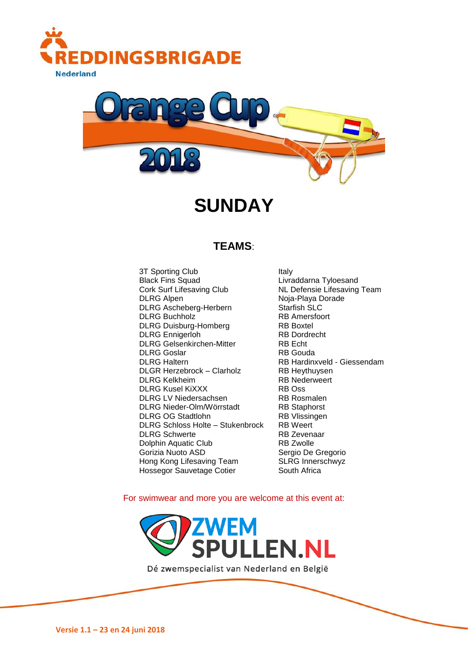



# **SUNDAY**

### **TEAMS**:

3T Sporting Club Italy Black Fins Squad<br>
Cork Surf Lifesaving Club<br>
Cork Surf Lifesaving Club<br>
Cork Surf Lifesaving Club DLRG Alpen Noja-Playa Dorade DLRG Ascheberg-Herbern Starfish SLC<br>DLRG Buchholz RB Amersfoort **DLRG Buchholz** RB Amers<br>
DLRG Duisburg-Homberg RB Roxtel DLRG Duisburg-Homberg DLRG Ennigerloh RB Dordrecht DLRG Gelsenkirchen-Mitter RB Echt DLRG Goslar **RB Gouda** DLRG Haltern RB Hardinxveld - Giessendam DLGR Herzebrock – Clarholz RB Heythuysen DLRG Kelkheim **RB Nederweert** DLRG Kusel KiXXX RB Oss DLRG LV Niedersachsen RB Rosmalen DLRG Nieder-Olm/Wörrstadt RB Staphorst DLRG OG Stadtlohn RB Vlissingen<br>DLRG Schloss Holte – Stukenbrock RB Weert DLRG Schloss Holte – Stukenbrock RB Weert<br>DLRG Schwerte RB Zevenaar DLRG Schwerte Dolphin Aquatic Club RB Zwolle Gorizia Nuoto ASD Sergio De Gregorio Hong Kong Lifesaving Team SLRG Innerschwyz Hossegor Sauvetage Cotier South Africa

NL Defensie Lifesaving Team

For swimwear and more you are welcome at this event at:



Dé zwemspecialist van Nederland en België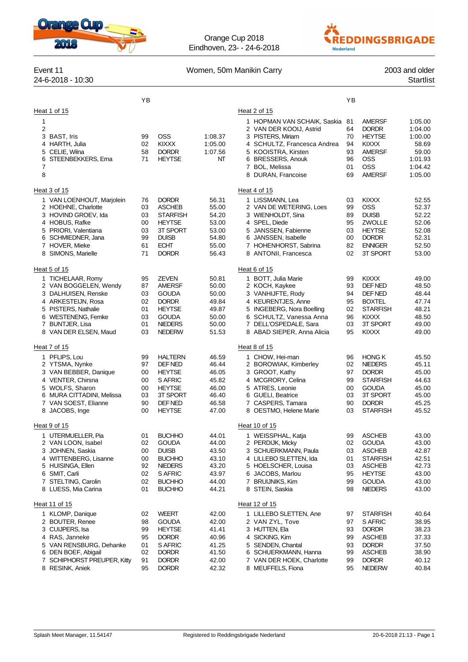

Orange Cup 2018 Eindhoven, 23- - 24-6-2018



|                  | Event 11<br>24-6-2018 - 10:30                                                                                                                                                    | Women, 50m Manikin Carry                     |                                                                                                                                   |                                                                      |                                                                                                                                                                                                 |                                              |                                                                                                                                       | 2003 and older<br><b>Startlist</b>                                               |
|------------------|----------------------------------------------------------------------------------------------------------------------------------------------------------------------------------|----------------------------------------------|-----------------------------------------------------------------------------------------------------------------------------------|----------------------------------------------------------------------|-------------------------------------------------------------------------------------------------------------------------------------------------------------------------------------------------|----------------------------------------------|---------------------------------------------------------------------------------------------------------------------------------------|----------------------------------------------------------------------------------|
|                  |                                                                                                                                                                                  | YB                                           |                                                                                                                                   |                                                                      |                                                                                                                                                                                                 | YB                                           |                                                                                                                                       |                                                                                  |
|                  | Heat 1 of 15                                                                                                                                                                     |                                              |                                                                                                                                   |                                                                      | Heat 2 of 15                                                                                                                                                                                    |                                              |                                                                                                                                       |                                                                                  |
| 1<br>2<br>7<br>8 | 3 BAST, Iris<br>4 HARTH, Julia<br>5 CELIE. Wilna<br>6 STEENBEKKERS, Ema                                                                                                          | 99<br>02<br>58<br>71                         | <b>OSS</b><br><b>KIXXX</b><br><b>DORDR</b><br><b>HEYTSE</b>                                                                       | 1:08.37<br>1:05.00<br>1:07.56<br>NT                                  | 1 HOPMAN VAN SCHAIK, Saskia<br>2 VAN DER KOOIJ, Astrid<br>3 PISTERS, Miriam<br>4 SCHULTZ, Francesca Andrea<br>5 KOOISTRA, Kirsten<br>6 BRESSERS, Anouk<br>7 BOL, Melissa<br>8 DURAN, Francoise  | 81<br>64<br>70<br>94<br>93<br>96<br>01<br>69 | <b>AMERSF</b><br><b>DORDR</b><br><b>HEYTSE</b><br><b>KIXXX</b><br><b>AMERSF</b><br>OSS<br>OSS<br><b>AMERSF</b>                        | 1:05.00<br>1:04.00<br>1:00.00<br>58.69<br>59.00<br>1:01.93<br>1:04.42<br>1:05.00 |
|                  | Heat 3 of 15                                                                                                                                                                     |                                              |                                                                                                                                   |                                                                      | Heat 4 of 15                                                                                                                                                                                    |                                              |                                                                                                                                       |                                                                                  |
|                  | 1 VAN LOENHOUT, Marjolein<br>2 HOEHNE, Charlotte<br>3 HOVIND GROEV, Ida<br>4 HOBUS, Rafke<br>5 PRIORI, Valentiana<br>6 SCHMIEDNER, Jana<br>7 HOVER, Mieke<br>8 SIMONS, Marielle  | 76<br>03<br>03<br>00<br>03<br>99<br>61<br>71 | <b>DORDR</b><br><b>ASCHEB</b><br><b>STARFISH</b><br><b>HEYTSE</b><br>3T SPORT<br><b>DUISB</b><br><b>ECHT</b><br><b>DORDR</b>      | 56.31<br>55.00<br>54.20<br>53.00<br>53.00<br>54.80<br>55.00<br>56.43 | 1 LISSMANN, Lea<br>2 VAN DE WETERING, Loes<br>3 WIENHOLDT, Sina<br>4 SPEL, Diede<br>5 JANSSEN, Fabienne<br>6 JANSSEN, Isabelle<br>7 HOHENHORST, Sabrina<br>8 ANTONII, Francesca                 | 03<br>99<br>89<br>95<br>03<br>00<br>82<br>02 | <b>KIXXX</b><br><b>OSS</b><br><b>DUISB</b><br>ZWOLLE<br><b>HEYTSE</b><br><b>DORDR</b><br><b>ENNIGER</b><br>3T SPORT                   | 52.55<br>52.37<br>52.22<br>52.06<br>52.08<br>52.31<br>52.50<br>53.00             |
|                  | Heat 5 of 15                                                                                                                                                                     |                                              |                                                                                                                                   |                                                                      | Heat 6 of 15                                                                                                                                                                                    |                                              |                                                                                                                                       |                                                                                  |
|                  | 1 TICHELAAR, Romy<br>2 VAN BOGGELEN, Wendy<br>3 DALHUISEN, Renske<br>4 ARKESTEIJN, Rosa<br>5 PISTERS, Nathalie<br>6 WESTENENG, Femke<br>7 BUNTJER, Lisa<br>8 VAN DER ELSEN, Maud | 95<br>87<br>03<br>02<br>01<br>03<br>01<br>03 | <b>ZEVEN</b><br><b>AMERSF</b><br><b>GOUDA</b><br><b>DORDR</b><br><b>HEYTSE</b><br><b>GOUDA</b><br><b>NIEDERS</b><br><b>NEDERW</b> | 50.81<br>50.00<br>50.00<br>49.84<br>49.87<br>50.00<br>50.00<br>51.53 | 1 BOTT, Julia Marie<br>2 KOCH, Kaykee<br>3 VANHIJFTE, Rody<br>4 KEURENTJES, Anne<br>5 INGEBERG, Nora Boelling<br>6 SCHULTZ, Vanessa Anna<br>7 DELL'OSPEDALE, Sara<br>8 ABAD SIEPER, Anna Alicia | 99<br>93<br>94<br>95<br>02<br>96<br>03<br>95 | <b>KIXXX</b><br>DEF NED<br>DEF NED<br><b>BOXTEL</b><br><b>STARFISH</b><br><b>KIXXX</b><br>3T SPORT<br><b>KIXXX</b>                    | 49.00<br>48.50<br>48.44<br>47.74<br>48.21<br>48.50<br>49.00<br>49.00             |
|                  | Heat 7 of 15                                                                                                                                                                     |                                              |                                                                                                                                   |                                                                      | Heat 8 of 15                                                                                                                                                                                    |                                              |                                                                                                                                       |                                                                                  |
|                  | 1 PFLIPS, Lou<br>2 YTSMA, Nynke<br>3 VAN BEBBER, Danique<br>4 VENTER, Chirsna<br>5 WOLFS, Sharon<br>6 MURA CITTADINI, Melissa<br>7 VAN SOEST, Elianne<br>8 JACOBS, Inge          | 99<br>97<br>00<br>00<br>00<br>03<br>90<br>00 | <b>HALTERN</b><br>DEF NED<br><b>HEYTSE</b><br>S AFRIC<br><b>HEYTSE</b><br>3T SPORT<br>DEF NED<br><b>HEYTSE</b>                    | 46.59<br>46.44<br>46.05<br>45.82<br>46.00<br>46.40<br>46.58<br>47.00 | 1 CHOW, Hei-man<br>2 BOROWIAK, Kimberley<br>3 GROOT, Kathy<br>4 MCGRORY, Celina<br>5 ATRES, Leonie<br>6 GUELI, Beatrice<br>7 CASPERS, Tamara<br>8 OESTMO, Helene Marie                          | 96<br>02<br>97<br>99<br>00<br>03<br>90<br>03 | <b>HONG K</b><br><b>NIEDERS</b><br><b>DORDR</b><br><b>STARFISH</b><br><b>GOUDA</b><br>3T SPORT<br><b>DORDR</b><br><b>STARFISH</b>     | 45.50<br>45.11<br>45.00<br>44.63<br>45.00<br>45.00<br>45.25<br>45.52             |
|                  | Heat 9 of 15                                                                                                                                                                     |                                              |                                                                                                                                   |                                                                      | Heat 10 of 15                                                                                                                                                                                   |                                              |                                                                                                                                       |                                                                                  |
|                  | 1 UTERMUELLER, Pia<br>2 VAN LOON, Isabel<br>3 JOHNEN, Saskia<br>4 WITTENBERG, Lisanne<br>5 HUISINGA, Ellen<br>6 SMIT, Carli<br>7 STELTING, Carolin<br>8 LUESS, Mia Carina        | 01<br>02<br>00<br>00<br>92<br>02<br>02<br>01 | <b>BUCHHO</b><br><b>GOUDA</b><br><b>DUISB</b><br><b>BUCHHO</b><br><b>NIEDERS</b><br>S AFRIC<br><b>BUCHHO</b><br><b>BUCHHO</b>     | 44.01<br>44.00<br>43.50<br>43.10<br>43.20<br>43.97<br>44.00<br>44.21 | 1 WEISSPHAL, Katja<br>2 PERDIJK, Micky<br>3 SCHUERKMANN, Paula<br>4 LILLEBO SLETTEN, Ida<br>5 HOELSCHER, Louisa<br>6 JACOBS, Marlou<br>7 BRUIJNIKS, Kim<br>8 STEIN, Saskia                      | 99<br>02<br>03<br>01<br>03<br>95<br>99<br>98 | <b>ASCHEB</b><br><b>GOUDA</b><br><b>ASCHEB</b><br><b>STARFISH</b><br><b>ASCHEB</b><br><b>HEYTSE</b><br><b>GOUDA</b><br><b>NIEDERS</b> | 43.00<br>43.00<br>42.87<br>42.51<br>42.73<br>43.00<br>43.00<br>43.00             |
|                  | Heat 11 of 15                                                                                                                                                                    |                                              |                                                                                                                                   |                                                                      | Heat 12 of 15                                                                                                                                                                                   |                                              |                                                                                                                                       |                                                                                  |
|                  | 1 KLOMP, Danique<br>2 BOUTER, Renee<br>3 CUIJPERS, Isa<br>4 RAS, Janneke<br>5 VAN RENSBURG, Dehanke<br>6 DEN BOEF, Abigail<br>7 SCHIPHORST PREUPER, Kitty                        | 02<br>98<br>99<br>95<br>01<br>02<br>91       | <b>WEERT</b><br><b>GOUDA</b><br><b>HEYTSE</b><br><b>DORDR</b><br>S AFRIC<br><b>DORDR</b><br><b>DORDR</b>                          | 42.00<br>42.00<br>41.41<br>40.96<br>41.25<br>41.50<br>42.00          | 1 LILLEBO SLETTEN, Ane<br>2 VAN ZYL, Tove<br>3 HUTTEN, Ela<br>4 SICKING, Kim<br>5 SENDEN, Chantal<br>6 SCHUERKMANN, Hanna<br>7 VAN DER HOEK, Charlotte                                          | 97<br>97<br>93<br>99<br>93<br>99<br>99       | <b>STARFISH</b><br>S AFRIC<br><b>DORDR</b><br><b>ASCHEB</b><br><b>DORDR</b><br><b>ASCHEB</b><br><b>DORDR</b>                          | 40.64<br>38.95<br>38.23<br>37.33<br>37.50<br>38.90<br>40.12                      |
|                  | 8 RESINK, Aniek                                                                                                                                                                  | 95                                           | <b>DORDR</b>                                                                                                                      | 42.32                                                                | 8 MEUFFELS, Fiona                                                                                                                                                                               | 95                                           | <b>NEDERW</b>                                                                                                                         | 40.84                                                                            |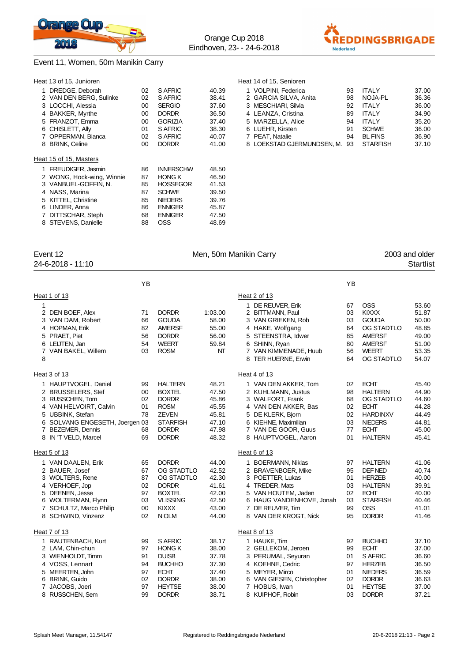



Event 11, Women, 50m Manikin Carry

|                                               | YB       |                              |                |                            | ΥB |                 |                |
|-----------------------------------------------|----------|------------------------------|----------------|----------------------------|----|-----------------|----------------|
| 24-6-2018 - 11:10                             |          |                              |                |                            |    |                 | Startlist      |
| Event 12                                      |          |                              |                | Men, 50m Manikin Carry     |    |                 | 2003 and older |
|                                               |          |                              |                |                            |    |                 |                |
| 7 DITTSCHAR, Steph<br>8 STEVENS, Danielle     | 68<br>88 | <b>ENNIGER</b><br><b>OSS</b> | 47.50<br>48.69 |                            |    |                 |                |
| 6 LINDER, Anna                                | 86       | <b>ENNIGER</b>               | 45.87          |                            |    |                 |                |
| 5 KITTEL, Christine                           | 85       | <b>NIEDERS</b>               | 39.76          |                            |    |                 |                |
| 4 NASS, Marina                                | 87       | <b>SCHWE</b>                 | 39.50          |                            |    |                 |                |
| 3 VANBUEL-GOFFIN, N.                          | 85       | <b>HOSSEGOR</b>              | 41.53          |                            |    |                 |                |
| 2 WONG, Hock-wing, Winnie                     | 87       | <b>HONG K</b>                | 46.50          |                            |    |                 |                |
| Heat 15 of 15, Masters<br>1 FREUDIGER, Jasmin | 86       | <b>INNERSCHW</b>             | 48.50          |                            |    |                 |                |
| 8 BRINK, Celine                               | 00       | <b>DORDR</b>                 | 41.00          | 8 LOEKSTAD GJERMUNDSEN, M. | 93 | <b>STARFISH</b> | 37.10          |
| OPPERMAN, Bianca                              | 02       | S AFRIC                      | 40.07          | 7 PEAT, Natalie            | 94 | <b>BL FINS</b>  | 36.90          |
| CHISLETT, Ally<br>6                           | 01       | S AFRIC                      | 38.30          | 6 LUEHR. Kirsten           | 91 | <b>SCHWE</b>    | 36.00          |
| 5 FRANZOT, Emma                               | 00       | <b>GORIZIA</b>               | 37.40          | 5 MARZELLA, Alice          | 94 | <b>ITALY</b>    | 35.20          |
| 4 BAKKER, Myrthe                              | 00       | <b>DORDR</b>                 | 36.50          | 4 LEANZA, Cristina         | 89 | <b>ITALY</b>    | 34.90          |
| 3 LOCCHI, Alessia                             | 00       | <b>SERGIO</b>                | 37.60          | 3 MESCHIARI, Silvia        | 92 | <b>ITALY</b>    | 36.00          |
| 2 VAN DEN BERG, Sulinke                       | 02       | S AFRIC                      | 38.41          | 2 GARCIA SILVA, Anita      | 98 | NOJA-PL         | 36.36          |
| DREDGE, Deborah<br>1.                         | 02       | S AFRIC                      | 40.39          | 1 VOLPINI, Federica        | 93 | <b>ITALY</b>    | 37.00          |
| Heat 13 of 15, Junioren                       |          |                              |                | Heat 14 of 15, Senioren    |    |                 |                |

|        | Heat 1 of 13                                                                                                                                                                               |                                              |                                                                                                                                   |                                                                      | Heat 2 of 13                                                                                                                                                                      |                                              |                                                                                                                                  |                                                                      |
|--------|--------------------------------------------------------------------------------------------------------------------------------------------------------------------------------------------|----------------------------------------------|-----------------------------------------------------------------------------------------------------------------------------------|----------------------------------------------------------------------|-----------------------------------------------------------------------------------------------------------------------------------------------------------------------------------|----------------------------------------------|----------------------------------------------------------------------------------------------------------------------------------|----------------------------------------------------------------------|
| 1<br>8 | 2 DEN BOEF, Alex<br>3 VAN DAM, Robert<br>4 HOPMAN, Erik<br>5 PRAET, Piet<br>6 LEIJTEN, Jan<br>7 VAN BAKEL, Willem                                                                          | 71<br>66<br>82<br>56<br>54<br>03             | <b>DORDR</b><br><b>GOUDA</b><br><b>AMERSF</b><br><b>DORDR</b><br><b>WEERT</b><br><b>ROSM</b>                                      | 1:03.00<br>58.00<br>55.00<br>56.00<br>59.84<br>NT                    | 1 DE REUVER, Erik<br>2 BITTMANN, Paul<br>3 VAN GRIEKEN, Rob<br>4 HAKE, Wolfgang<br>5 STEENSTRA, Idwer<br>6 SHINN, Ryan<br>7 VAN KIMMENADE, Huub<br>8 TER HUERNE, Erwin            | 67<br>03<br>03<br>64<br>85<br>80<br>56<br>64 | <b>OSS</b><br><b>KIXXX</b><br><b>GOUDA</b><br>OG STADTLO<br><b>AMERSF</b><br><b>AMERSF</b><br><b>WEERT</b><br>OG STADTLO         | 53.60<br>51.87<br>50.00<br>48.85<br>49.00<br>51.00<br>53.35<br>54.07 |
|        | Heat 3 of 13                                                                                                                                                                               |                                              |                                                                                                                                   |                                                                      | Heat 4 of 13                                                                                                                                                                      |                                              |                                                                                                                                  |                                                                      |
|        | 1 HAUPTVOGEL, Daniel<br>2 BRUSSELERS, Stef<br>3 RUSSCHEN, Tom<br>4 VAN HELVOIRT, Calvin<br>5 UBBINK, Stefan<br>6 SOLVANG ENGESETH, Joergen 03<br>7 BEZEMER, Dennis<br>8 IN 'T VELD, Marcel | 99<br>00<br>02<br>01<br>78<br>68<br>69       | <b>HALTERN</b><br><b>BOXTEL</b><br><b>DORDR</b><br><b>ROSM</b><br><b>ZEVEN</b><br><b>STARFISH</b><br><b>DORDR</b><br><b>DORDR</b> | 48.21<br>47.50<br>45.86<br>45.55<br>45.81<br>47.10<br>47.98<br>48.32 | 1 VAN DEN AKKER, Tom<br>2 KUHLMANN, Justus<br>3 WALFORT, Frank<br>4 VAN DEN AKKER, Bas<br>5 DE KLERK, Bjorn<br>6 KIEHNE, Maximilian<br>7 VAN DE GOOR, Guus<br>8 HAUPTVOGEL, Aaron | 02<br>98<br>68<br>02<br>02<br>03<br>77<br>01 | <b>ECHT</b><br><b>HALTERN</b><br>OG STADTLO<br><b>ECHT</b><br><b>HARDINXV</b><br><b>NIEDERS</b><br><b>ECHT</b><br><b>HALTERN</b> | 45.40<br>44.90<br>44.60<br>44.28<br>44.49<br>44.81<br>45.00<br>45.41 |
|        | Heat 5 of 13                                                                                                                                                                               |                                              |                                                                                                                                   |                                                                      | Heat 6 of 13                                                                                                                                                                      |                                              |                                                                                                                                  |                                                                      |
|        | 1 VAN DAALEN, Erik<br>2 BAUER, Josef<br>3 WOLTERS, Rene<br>4 VERHOEF, Jop<br>5 DEENEN, Jesse<br>6 WOLTERMAN, Flynn<br>7 SCHULTZ, Marco Philip<br>8 SCHWIND, Vinzenz                        | 65<br>67<br>87<br>02<br>97<br>03<br>00<br>02 | <b>DORDR</b><br>OG STADTLO<br>OG STADTLO<br><b>DORDR</b><br><b>BOXTEL</b><br><b>VLISSING</b><br><b>KIXXX</b><br>N OLM             | 44.00<br>42.52<br>42.30<br>41.61<br>42.00<br>42.50<br>43.00<br>44.00 | 1 BOERMANN, Niklas<br>2 BRAVENBOER, Mike<br>3 POETTER, Lukas<br>4 TREDER, Mats<br>5 VAN HOUTEM, Jaden<br>6 HAUG VANDENHOVE, Jonah<br>7 DE REUVER, Tim<br>8 VAN DER KROGT, Nick    | 97<br>95<br>01<br>03<br>02<br>03<br>99<br>95 | <b>HALTERN</b><br>DEF NED<br><b>HERZEB</b><br><b>HALTERN</b><br><b>ECHT</b><br><b>STARFISH</b><br><b>OSS</b><br><b>DORDR</b>     | 41.06<br>40.74<br>40.00<br>39.91<br>40.00<br>40.46<br>41.01<br>41.46 |
|        | Heat 7 of 13                                                                                                                                                                               |                                              |                                                                                                                                   |                                                                      | Heat 8 of 13                                                                                                                                                                      |                                              |                                                                                                                                  |                                                                      |
|        | 1 RAUTENBACH, Kurt<br>2 LAM, Chin-chun<br>3 WIENHOLDT, Timm<br>4 VOSS, Lennart<br>5 MEERTEN, John<br>6 BRINK, Guido<br>7 JACOBS, Joeri                                                     | 99<br>97<br>91<br>94<br>97<br>02<br>97       | S AFRIC<br><b>HONG K</b><br><b>DUISB</b><br><b>BUCHHO</b><br><b>ECHT</b><br><b>DORDR</b><br><b>HEYTSE</b>                         | 38.17<br>38.00<br>37.78<br>37.30<br>37.40<br>38.00<br>38.00          | 1 HAUKE, Tim<br>2 GELLEKOM, Jeroen<br>3 PERUMAL, Seyuran<br>4 KOEHNE, Cedric<br>5 MEYER, Mirco<br>6 VAN GIESEN, Christopher<br>7 HOBUS, Iwan                                      | 92<br>99<br>01<br>97<br>01<br>02<br>01       | <b>BUCHHO</b><br><b>ECHT</b><br>S AFRIC<br><b>HERZEB</b><br><b>NIEDERS</b><br><b>DORDR</b><br><b>HEYTSE</b>                      | 37.10<br>37.00<br>36.60<br>36.50<br>36.59<br>36.63<br>37.00          |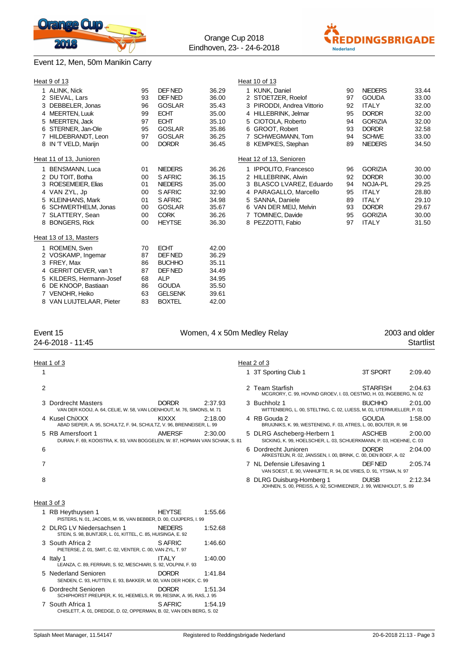

#### Event 12, Men, 50m Manikin Carry



|                | Heat 9 of 13             |    |                |       | Heat 10 of 13              |    |                |       |
|----------------|--------------------------|----|----------------|-------|----------------------------|----|----------------|-------|
|                | 1 ALINK, Nick            | 95 | DEF NED        | 36.29 | 1 KUNK, Daniel             | 90 | <b>NIEDERS</b> | 33.44 |
|                | 2 SIEVAL, Lars           | 93 | DEF NED        | 36.00 | 2 STOETZER, Roelof         | 97 | <b>GOUDA</b>   | 33.00 |
|                | 3 DEBBELER, Jonas        | 96 | <b>GOSLAR</b>  | 35.43 | 3 PIRODDI, Andrea Vittorio | 92 | <b>ITALY</b>   | 32.00 |
|                | 4 MEERTEN, Luuk          | 99 | <b>ECHT</b>    | 35.00 | 4 HILLEBRINK, Jelmar       | 95 | <b>DORDR</b>   | 32.00 |
| 5              | MEERTEN, Jack            | 97 | <b>ECHT</b>    | 35.10 | 5 CIOTOLA, Roberto         | 94 | <b>GORIZIA</b> | 32.00 |
| 6              | STERNER, Jan-Ole         | 95 | <b>GOSLAR</b>  | 35.86 | 6 GROOT, Robert            | 93 | <b>DORDR</b>   | 32.58 |
| $\overline{7}$ | HILDEBRANDT, Leon        | 97 | <b>GOSLAR</b>  | 36.25 | 7 SCHWEGMANN, Tom          | 94 | <b>SCHWE</b>   | 33.00 |
|                | 8 IN 'T VELD, Marijn     | 00 | <b>DORDR</b>   | 36.45 | 8 KEMPKES, Stephan         | 89 | <b>NIEDERS</b> | 34.50 |
|                | Heat 11 of 13, Junioren  |    |                |       | Heat 12 of 13, Senioren    |    |                |       |
|                | BENSMANN, Luca           | 01 | <b>NIEDERS</b> | 36.26 | 1 IPPOLITO, Francesco      | 96 | <b>GORIZIA</b> | 30.00 |
|                | 2 DU TOIT, Botha         | 00 | S AFRIC        | 36.15 | 2 HILLEBRINK, Alwin        | 92 | <b>DORDR</b>   | 30.00 |
| 3              | ROESEMEIER, Elias        | 01 | <b>NIEDERS</b> | 35.00 | 3 BLASCO LVAREZ, Eduardo   | 94 | NOJA-PL        | 29.25 |
|                | 4 VAN ZYL, Jp            | 00 | S AFRIC        | 32.90 | 4 PARAGALLO, Marcello      | 95 | <b>ITALY</b>   | 28.80 |
|                | 5 KLEINHANS, Mark        | 01 | S AFRIC        | 34.98 | 5 SANNA, Daniele           | 89 | <b>ITALY</b>   | 29.10 |
| 6              | SCHWERTHELM, Jonas       | 00 | <b>GOSLAR</b>  | 35.67 | 6 VAN DER MEIJ, Melvin     | 93 | <b>DORDR</b>   | 29.67 |
|                | 7 SLATTERY, Sean         | 00 | <b>CORK</b>    | 36.26 | 7 TOMINEC, Davide          | 95 | <b>GORIZIA</b> | 30.00 |
|                | 8 BONGERS, Rick          | 00 | <b>HEYTSE</b>  | 36.30 | 8 PEZZOTTI, Fabio          | 97 | <b>ITALY</b>   | 31.50 |
|                | Heat 13 of 13, Masters   |    |                |       |                            |    |                |       |
| 1              | ROEMEN, Sven             | 70 | <b>ECHT</b>    | 42.00 |                            |    |                |       |
|                | 2 VOSKAMP, Ingemar       | 87 | DEF NED        | 36.29 |                            |    |                |       |
|                | 3 FREY, Max              | 86 | <b>BUCHHO</b>  | 35.11 |                            |    |                |       |
|                | 4 GERRIT OEVER, van 't   | 87 | DEF NED        | 34.49 |                            |    |                |       |
|                | 5 KILDERS, Hermann-Josef | 68 | <b>ALP</b>     | 34.95 |                            |    |                |       |
|                | 6 DE KNOOP, Bastiaan     | 86 | <b>GOUDA</b>   | 35.50 |                            |    |                |       |

Orange Cup 2018 Eindhoven, 23- - 24-6-2018

#### Event 15 **Event 15** Women, 4 x 50m Medley Relay 2003 and older

| ∟ ⊽∪ ⊓∪           | <b>TO THE TA SUIT MCGICY INCIDE</b> | LUUU UHU UJUU    |
|-------------------|-------------------------------------|------------------|
| 24-6-2018 - 11:45 |                                     | <b>Startlist</b> |

|   | Heat 1 of 3                                                                                       |                |               | Heat 2 of 3                                                                                       |                 |         |
|---|---------------------------------------------------------------------------------------------------|----------------|---------------|---------------------------------------------------------------------------------------------------|-----------------|---------|
|   |                                                                                                   |                |               | 1 3T Sporting Club 1                                                                              | 3T SPORT        | 2:09.40 |
| 2 |                                                                                                   |                |               | 2 Team Starfish<br>MCGRORY, C. 99, HOVIND GROEV, I. 03, OESTMO, H. 03, INGEBERG, N. 02            | <b>STARFISH</b> | 2:04.63 |
|   | 3 Dordrecht Masters<br>VAN DER KOOIJ, A. 64, CELIE, W. 58, VAN LOENHOUT, M. 76, SIMONS, M. 71     | <b>DORDR</b>   | 2:37.93       | 3 Buchholz 1<br>WITTENBERG, L. 00, STELTING, C. 02, LUESS, M. 01, UTERMUELLER, P. 01              | <b>BUCHHO</b>   | 2:01.00 |
|   | 4 Kusel ChiXXX<br>ABAD SIEPER, A. 95, SCHULTZ, F. 94, SCHULTZ, V. 96, BRENNEISER, L. 99           | KIXXX          | 2:18.00       | 4 RB Gouda 2<br>BRUIJNIKS, K. 99, WESTENENG, F. 03, ATRES, L. 00, BOUTER, R. 98                   | <b>GOUDA</b>    | 1:58.00 |
|   | 5 RB Amersfoort 1<br>DURAN, F. 69, KOOISTRA, K. 93, VAN BOGGELEN, W. 87, HOPMAN VAN SCHAIK, S. 81 | <b>AMERSF</b>  | 2:30.00       | 5 DLRG Ascheberg-Herbern 1<br>SICKING, K. 99, HOELSCHER, L. 03, SCHUERKMANN, P. 03, HOEHNE, C. 03 | <b>ASCHEB</b>   | 2:00.00 |
| 6 |                                                                                                   |                |               | 6 Dordrecht Junioren<br>ARKESTEIJN, R. 02, JANSSEN, I. 00, BRINK, C. 00, DEN BOEF, A. 02          | <b>DORDR</b>    | 2:04.00 |
| 7 |                                                                                                   |                |               | 7 NL Defensie Lifesaving 1<br>VAN SOEST, E. 90, VANHIJFTE, R. 94, DE VRIES, D. 91, YTSMA, N. 97   | DEF NED         | 2:05.74 |
| 8 |                                                                                                   |                |               | 8 DLRG Duisburg-Homberg 1<br>JOHNEN, S. 00, PREISS, A. 92, SCHMIEDNER, J. 99, WIENHOLDT, S. 89    | <b>DUISB</b>    | 2:12.34 |
|   | Heat 3 of 3                                                                                       |                |               |                                                                                                   |                 |         |
|   | 1 RB Heythuysen 1<br>PISTERS, N. 01, JACOBS, M. 95, VAN BEBBER, D. 00, CUIJPERS, I. 99            | <b>HEYTSE</b>  | 1:55.66       |                                                                                                   |                 |         |
|   | 2 DLRG LV Niedersachsen 1<br>STEIN, S. 98, BUNTJER, L. 01, KITTEL, C. 85, HUISINGA, E. 92         | <b>NIEDERS</b> | 1:52.68       |                                                                                                   |                 |         |
|   | 3 South Africa 2<br>PIETERSE, Z. 01, SMIT, C. 02, VENTER, C. 00, VAN ZYL, T. 97                   | S AFRIC        | 1:46.60       |                                                                                                   |                 |         |
|   | $\lambda$ Holt $\lambda$                                                                          | ITAIV          | $1.10 \Omega$ |                                                                                                   |                 |         |

4 Italy 1 ITALY 1:40.00 LEANZA, C. 89, FERRARI, S. 92, MESCHIARI, S. 92, VOLPINI, F. 93 5 Nederland Senioren DORDR 1:41.84 SENDEN, C. 93, HUTTEN, E. 93, BAKKER, M. 00, VAN DER HOEK, C. 99 6 Dordrecht Senioren DORDR 1:51.34 SCHIPHORST PREUPER, K. 91, HEEMELS, R. 99, RESINK, A. 95, RAS, J. 95

7 VENOHR, Heiko 63 GELSENK 39.61 8 VAN LUIJTELAAR, Pieter 83 BOXTEL 42.00

7 South Africa 1 SAFRIC 1:54.19 CHISLETT, A. 01, DREDGE, D. 02, OPPERMAN, B. 02, VAN DEN BERG, S. 02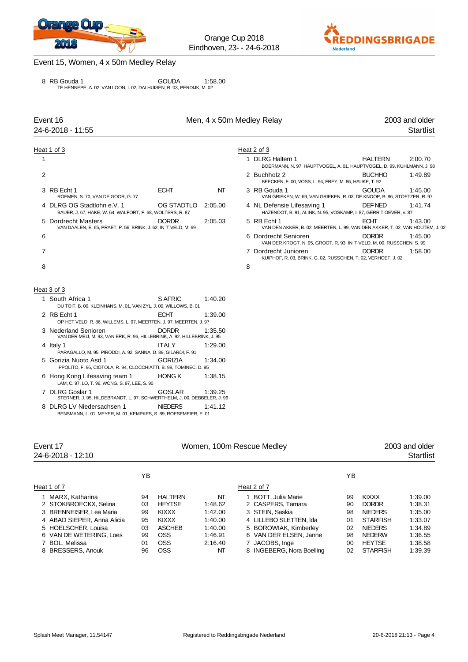



#### Event 15, Women, 4 x 50m Medley Relay

8 RB Gouda 1 (1:58.00 GOUDA 1:58.00<br>TE HENNEPE, A. 02, VAN LOON, I. 02, DALHUISEN, R. 03, PERDIJK, M. 02

| Event 16       |                                                                                                   |                | Men, 4 x 50m Medley Relay |                                                                                                  | 2003 and older                                                                                   |  |  |
|----------------|---------------------------------------------------------------------------------------------------|----------------|---------------------------|--------------------------------------------------------------------------------------------------|--------------------------------------------------------------------------------------------------|--|--|
|                | 24-6-2018 - 11:55                                                                                 |                |                           |                                                                                                  | <b>Startlist</b>                                                                                 |  |  |
|                | Heat 1 of 3                                                                                       |                |                           | Heat 2 of 3                                                                                      |                                                                                                  |  |  |
| 1              |                                                                                                   |                |                           | 1 DLRG Haltern 1                                                                                 | HALTERN<br>2:00.70<br>BOERMANN, N. 97, HAUPTVOGEL, A. 01, HAUPTVOGEL, D. 99, KUHLMANN, J. 98     |  |  |
| 2              |                                                                                                   |                |                           | 2 Buchholz 2<br>BEECKEN, F. 00, VOSS, L. 94, FREY, M. 86, HAUKE, T. 92                           | <b>BUCHHO</b><br>1:49.89                                                                         |  |  |
|                | 3 RB Echt 1<br>ROEMEN, S. 70, VAN DE GOOR, G. 77                                                  | <b>ECHT</b>    | NT                        | 3 RB Gouda 1                                                                                     | 1:45.00<br>GOUDA<br>VAN GRIEKEN, W. 69, VAN GRIEKEN, R. 03, DE KNOOP, B. 86, STOETZER, R. 97     |  |  |
|                | 4 DLRG OG Stadtlohn e.V. 1<br>BAUER, J. 67, HAKE, W. 64, WALFORT, F. 68, WOLTERS, R. 87           | OG STADTLO     | 2:05.00                   | 4 NL Defensie Lifesaving 1<br>HAZENOOT, B. 91, ALINK, N. 95, VOSKAMP, I. 87, GERRIT OEVER, v. 87 | DEF NED<br>1:41.74                                                                               |  |  |
|                | 5 Dordrecht Masters<br>VAN DAALEN, E. 65, PRAET, P. 56, BRINK, J. 62, IN 'T VELD, M. 69           | <b>DORDR</b>   | 2:05.03                   | 5 RB Echt 1                                                                                      | ECHT<br>1:43.00<br>VAN DEN AKKER, B. 02, MEERTEN, L. 99, VAN DEN AKKER, T. 02, VAN HOUTEM, J. 02 |  |  |
| 6              |                                                                                                   |                |                           | 6 Dordrecht Senioren<br>VAN DER KROGT, N. 95, GROOT, R. 93, IN 'T VELD, M. 00, RUSSCHEN, S. 99   | <b>DORDR</b><br>1:45.00                                                                          |  |  |
| $\overline{7}$ |                                                                                                   |                |                           | 7 Dordrecht Junioren<br>KUIPHOF, R. 03, BRINK, G. 02, RUSSCHEN, T. 02, VERHOEF, J. 02            | <b>DORDR</b><br>1:58.00                                                                          |  |  |
| 8              |                                                                                                   |                |                           | 8                                                                                                |                                                                                                  |  |  |
|                | Heat 3 of 3                                                                                       |                |                           |                                                                                                  |                                                                                                  |  |  |
|                | 1 South Africa 1<br>DU TOIT, B. 00, KLEINHANS, M. 01, VAN ZYL, J. 00, WILLOWS, B. 01              | S AFRIC        | 1:40.20                   |                                                                                                  |                                                                                                  |  |  |
|                | 2 RB Echt 1<br>OP HET VELD, R. 86, WILLEMS, L. 97, MEERTEN, J. 97, MEERTEN, J. 97                 | <b>ECHT</b>    | 1:39.00                   |                                                                                                  |                                                                                                  |  |  |
|                | 3 Nederland Senioren<br>VAN DER MEIJ, M. 93, VAN ERK, R. 96, HILLEBRINK, A. 92, HILLEBRINK, J. 95 | <b>DORDR</b>   | 1:35.50                   |                                                                                                  |                                                                                                  |  |  |
|                | 4 Italy 1<br>PARAGALLO, M. 95, PIRODDI, A. 92, SANNA, D. 89, GILARDI, F. 91                       | <b>ITALY</b>   | 1:29.00                   |                                                                                                  |                                                                                                  |  |  |
|                | 5 Gorizia Nuoto Asd 1<br>IPPOLITO, F. 96, CIOTOLA, R. 94, CLOCCHIATTI, B. 98, TOMINEC, D. 95      | <b>GORIZIA</b> | 1:34.00                   |                                                                                                  |                                                                                                  |  |  |
|                | 6 Hong Kong Lifesaving team 1<br>LAM, C. 97, LO, T. 96, WONG, S. 97, LEE, S. 90                   | <b>HONG K</b>  | 1:38.15                   |                                                                                                  |                                                                                                  |  |  |
|                | 7 DLRG Goslar 1<br>STERNER, J. 95, HILDEBRANDT, L. 97, SCHWERTHELM, J. 00, DEBBELER, J. 96        | <b>GOSLAR</b>  | 1:39.25                   |                                                                                                  |                                                                                                  |  |  |
|                | 8 DLRG LV Niedersachsen 1<br>BENSMANN, L. 01, MEYER, M. 01, KEMPKES, S. 89, ROESEMEIER, E. 01     | <b>NIEDERS</b> | 1:41.12                   |                                                                                                  |                                                                                                  |  |  |
|                |                                                                                                   |                |                           |                                                                                                  |                                                                                                  |  |  |
|                | $E_{M}$ nt 17                                                                                     |                |                           | <i>Mamon</i> 100m Roccup Modlow                                                                  | 2003 and older                                                                                   |  |  |

| EVUIL I <i>I</i>           |    |                |         | <b>VVOITIBIT, TUUTH RESCUB MEGIEV</b> |    | ZUUJ dHU UIUEI  |           |  |
|----------------------------|----|----------------|---------|---------------------------------------|----|-----------------|-----------|--|
| 24-6-2018 - 12:10          |    |                |         |                                       |    |                 | Startlist |  |
|                            | ΥB |                |         |                                       | ΥB |                 |           |  |
| Heat 1 of 7                |    |                |         | Heat 2 of 7                           |    |                 |           |  |
| 1 MARX, Katharina          | 94 | <b>HALTERN</b> | NT      | 1 BOTT, Julia Marie                   | 99 | KIXXX           | 1:39.00   |  |
| 2 STOKBROECKX, Selina      | 03 | <b>HEYTSE</b>  | 1:48.62 | 2 CASPERS, Tamara                     | 90 | <b>DORDR</b>    | 1:38.31   |  |
| 3 BRENNEISER, Lea Maria    | 99 | KIXXX          | 1:42.00 | 3 STEIN, Saskia                       | 98 | <b>NIEDERS</b>  | 1:35.00   |  |
| 4 ABAD SIEPER, Anna Alicia | 95 | KIXXX          | 1:40.00 | 4 LILLEBO SLETTEN, Ida                | 01 | <b>STARFISH</b> | 1:33.07   |  |
| 5 HOELSCHER, Louisa        | 03 | <b>ASCHEB</b>  | 1:40.00 | 5 BOROWIAK, Kimberley                 | 02 | <b>NIEDERS</b>  | 1:34.89   |  |
| 6 VAN DE WETERING, Loes    | 99 | <b>OSS</b>     | 1:46.91 | 6 VAN DER ELSEN, Janne                | 98 | <b>NEDERW</b>   | 1:36.55   |  |
| 7 BOL. Melissa             | 01 | <b>OSS</b>     | 2:16.40 | 7 JACOBS, Inge                        | 00 | <b>HEYTSE</b>   | 1:38.58   |  |
| 8 BRESSERS, Anouk          | 96 | <b>OSS</b>     | NΤ      | 8 INGEBERG, Nora Boelling             | 02 | <b>STARFISH</b> | 1:39.39   |  |
|                            |    |                |         |                                       |    |                 |           |  |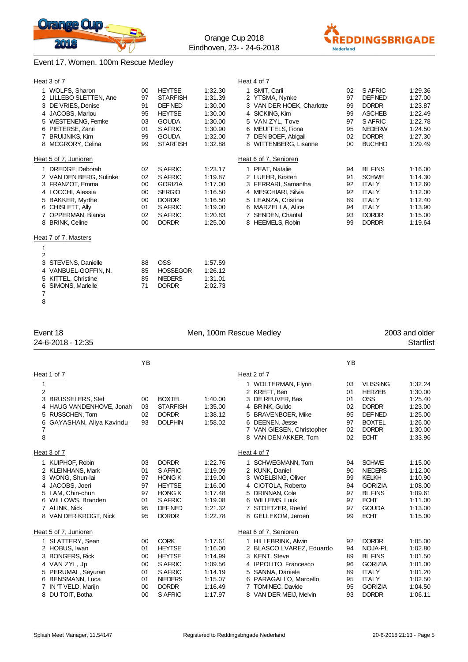



### Event 17, Women, 100m Rescue Medley

| Heat 3 of 7                                                                                                                                                                                                                                                                                                                                               |                                                                      |                                                                                                                                                                                |                                                                                                                                  | Heat 4 of 7                                                                                                                                                                                    |                                              |                                                                                                                                |                                                                                      |
|-----------------------------------------------------------------------------------------------------------------------------------------------------------------------------------------------------------------------------------------------------------------------------------------------------------------------------------------------------------|----------------------------------------------------------------------|--------------------------------------------------------------------------------------------------------------------------------------------------------------------------------|----------------------------------------------------------------------------------------------------------------------------------|------------------------------------------------------------------------------------------------------------------------------------------------------------------------------------------------|----------------------------------------------|--------------------------------------------------------------------------------------------------------------------------------|--------------------------------------------------------------------------------------|
| 1 WOLFS, Sharon<br>2 LILLEBO SLETTEN, Ane<br>3 DE VRIES, Denise<br>4 JACOBS, Marlou<br>5 WESTENENG, Femke<br>6 PIETERSE, Zanri<br>7 BRUIJNIKS, Kim                                                                                                                                                                                                        | 00<br>97<br>91<br>95<br>03<br>01<br>99                               | <b>HEYTSE</b><br><b>STARFISH</b><br>DEF NED<br><b>HEYTSE</b><br><b>GOUDA</b><br>S AFRIC<br><b>GOUDA</b>                                                                        | 1:32.30<br>1:31.39<br>1:30.00<br>1:30.00<br>1:30.00<br>1:30.90<br>1:32.00                                                        | 1 SMIT, Carli<br>2 YTSMA, Nynke<br>3 VAN DER HOEK, Charlotte<br>4 SICKING, Kim<br>5 VAN ZYL, Tove<br>6 MEUFFELS, Fiona<br>7 DEN BOEF, Abigail                                                  | 02<br>97<br>99<br>99<br>97<br>95<br>02       | S AFRIC<br>DEF NED<br><b>DORDR</b><br><b>ASCHEB</b><br>S AFRIC<br><b>NEDERW</b><br><b>DORDR</b>                                | 1:29.36<br>1:27.00<br>1:23.87<br>1:22.49<br>1:22.78<br>1:24.50<br>1:27.30            |
| 8 MCGRORY, Celina                                                                                                                                                                                                                                                                                                                                         | 99                                                                   | <b>STARFISH</b>                                                                                                                                                                | 1:32.88                                                                                                                          | 8 WITTENBERG, Lisanne                                                                                                                                                                          | 00                                           | <b>BUCHHO</b>                                                                                                                  | 1:29.49                                                                              |
| Heat 5 of 7, Junioren<br>1 DREDGE, Deborah<br>2 VAN DEN BERG, Sulinke<br>3 FRANZOT, Emma<br>4 LOCCHI, Alessia<br>5 BAKKER, Myrthe<br>6 CHISLETT, Ally<br>7 OPPERMAN, Bianca<br>8 BRINK, Celine<br>Heat 7 of 7, Masters<br>1<br>$\overline{2}$<br>3<br>STEVENS, Danielle<br>4 VANBUEL-GOFFIN, N.<br>5 KITTEL, Christine<br>SIMONS, Marielle<br>6<br>7<br>8 | 02<br>02<br>00<br>00<br>00<br>01<br>02<br>00<br>88<br>85<br>85<br>71 | S AFRIC<br>S AFRIC<br><b>GORIZIA</b><br><b>SERGIO</b><br><b>DORDR</b><br>S AFRIC<br>S AFRIC<br><b>DORDR</b><br><b>OSS</b><br><b>HOSSEGOR</b><br><b>NIEDERS</b><br><b>DORDR</b> | 1:23.17<br>1:19.87<br>1:17.00<br>1:16.50<br>1:16.50<br>1:19.00<br>1:20.83<br>1:25.00<br>1:57.59<br>1:26.12<br>1:31.01<br>2:02.73 | Heat 6 of 7, Senioren<br>1 PEAT, Natalie<br>2 LUEHR, Kirsten<br>3 FERRARI, Samantha<br>4 MESCHIARI, Silvia<br>5 LEANZA, Cristina<br>6 MARZELLA, Alice<br>7 SENDEN, Chantal<br>8 HEEMELS, Robin | 94<br>91<br>92<br>92<br>89<br>94<br>93<br>99 | <b>BL FINS</b><br><b>SCHWE</b><br><b>ITALY</b><br><b>ITALY</b><br><b>ITALY</b><br><b>ITALY</b><br><b>DORDR</b><br><b>DORDR</b> | 1:16.00<br>1:14.30<br>1:12.60<br>1:12.00<br>1:12.40<br>1:13.90<br>1:15.00<br>1:19.64 |
| Event 18<br>Men, 100m Rescue Medley<br>24-6-2018 - 12:35                                                                                                                                                                                                                                                                                                  |                                                                      |                                                                                                                                                                                |                                                                                                                                  |                                                                                                                                                                                                |                                              |                                                                                                                                | 2003 and older<br><b>Startlist</b>                                                   |

|                                                   |                                                                                                                                                                                           | YB                                           |                                                                                                                  |                                                                                      |                                                                                                                                                                                                                | YB                                           |                                                                                                                               |                                                                                      |
|---------------------------------------------------|-------------------------------------------------------------------------------------------------------------------------------------------------------------------------------------------|----------------------------------------------|------------------------------------------------------------------------------------------------------------------|--------------------------------------------------------------------------------------|----------------------------------------------------------------------------------------------------------------------------------------------------------------------------------------------------------------|----------------------------------------------|-------------------------------------------------------------------------------------------------------------------------------|--------------------------------------------------------------------------------------|
|                                                   | Heat 1 of 7                                                                                                                                                                               |                                              |                                                                                                                  |                                                                                      | Heat 2 of 7                                                                                                                                                                                                    |                                              |                                                                                                                               |                                                                                      |
| 1<br>$\overline{2}$<br>3<br>4<br>5<br>6<br>7<br>8 | <b>BRUSSELERS, Stef</b><br>HAUG VANDENHOVE, Jonah<br>RUSSCHEN, Tom<br>GAYASHAN, Aliya Kavindu                                                                                             | 00<br>03<br>02<br>93                         | <b>BOXTEL</b><br><b>STARFISH</b><br><b>DORDR</b><br><b>DOLPHIN</b>                                               | 1:40.00<br>1:35.00<br>1:38.12<br>1:58.02                                             | 1 WOLTERMAN, Flynn<br>2 KREFT, Ben<br>3 DE REUVER, Bas<br>4 BRINK, Guido<br>5 BRAVENBOER, Mike<br>6 DEENEN. Jesse<br>7 VAN GIESEN, Christopher<br>8 VAN DEN AKKER, Tom                                         | 03<br>01<br>01<br>02<br>95<br>97<br>02<br>02 | <b>VLISSING</b><br><b>HERZEB</b><br>OSS<br><b>DORDR</b><br>DEF NED<br><b>BOXTEL</b><br><b>DORDR</b><br><b>ECHT</b>            | 1:32.24<br>1:30.00<br>1:25.40<br>1:23.00<br>1:25.00<br>1:26.00<br>1:30.00<br>1:33.96 |
|                                                   | Heat 3 of 7                                                                                                                                                                               |                                              |                                                                                                                  |                                                                                      | Heat 4 of 7                                                                                                                                                                                                    |                                              |                                                                                                                               |                                                                                      |
|                                                   | 1 KUIPHOF, Robin<br>2 KLEINHANS, Mark<br>3 WONG, Shun-lai<br>4 JACOBS, Joeri<br>5 LAM, Chin-chun<br>6 WILLOWS, Branden<br>7 ALINK, Nick<br>8 VAN DER KROGT, Nick                          | 03<br>01<br>97<br>97<br>97<br>01<br>95<br>95 | <b>DORDR</b><br>S AFRIC<br><b>HONG K</b><br><b>HEYTSE</b><br><b>HONG K</b><br>S AFRIC<br>DEF NED<br><b>DORDR</b> | 1:22.76<br>1:19.09<br>1:19.00<br>1:16.00<br>1:17.48<br>1:19.08<br>1:21.32<br>1:22.78 | 1 SCHWEGMANN, Tom<br>2 KUNK, Daniel<br>3 WOELBING, Oliver<br>4 CIOTOLA, Roberto<br><b>DRINNAN, Cole</b><br>5<br>6 WILLEMS, Luuk<br>7 STOETZER, Roelof<br>8 GELLEKOM, Jeroen                                    | 94<br>90<br>99<br>94<br>97<br>97<br>97<br>99 | <b>SCHWE</b><br><b>NIEDERS</b><br>KELKH<br><b>GORIZIA</b><br><b>BL FINS</b><br><b>ECHT</b><br><b>GOUDA</b><br><b>ECHT</b>     | 1:15.00<br>1:12.00<br>1:10.90<br>1:08.00<br>1:09.61<br>1:11.00<br>1:13.00<br>1:15.00 |
| 3                                                 | Heat 5 of 7, Junioren<br>1 SLATTERY, Sean<br>2 HOBUS, Iwan<br><b>BONGERS, Rick</b><br>4 VAN ZYL, Jp<br>5 PERUMAL, Seyuran<br>6 BENSMANN, Luca<br>7 IN 'T VELD, Marijn<br>8 DU TOIT, Botha | 00<br>01<br>00<br>00<br>01<br>01<br>00<br>00 | <b>CORK</b><br><b>HEYTSE</b><br><b>HEYTSE</b><br>S AFRIC<br>S AFRIC<br><b>NIEDERS</b><br><b>DORDR</b><br>S AFRIC | 1:17.61<br>1:16.00<br>1:14.99<br>1:09.56<br>1:14.19<br>1:15.07<br>1:16.49<br>1:17.97 | Heat 6 of 7, Senioren<br>1 HILLEBRINK, Alwin<br>2 BLASCO LVAREZ, Eduardo<br>3 KENT, Steve<br>4 IPPOLITO, Francesco<br>5 SANNA, Daniele<br>6 PARAGALLO, Marcello<br>7 TOMINEC, Davide<br>8 VAN DER MEIJ, Melvin | 92<br>94<br>89<br>96<br>89<br>95<br>95<br>93 | <b>DORDR</b><br>NOJA-PL<br><b>BL FINS</b><br><b>GORIZIA</b><br><b>ITALY</b><br><b>ITALY</b><br><b>GORIZIA</b><br><b>DORDR</b> | 1:05.00<br>1:02.80<br>1:01.50<br>1:01.00<br>1:01.20<br>1:02.50<br>1:04.50<br>1:06.11 |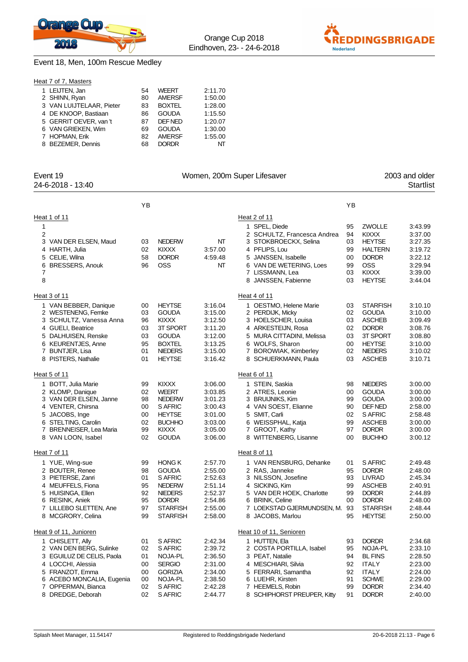

#### Event 18, Men, 100m Rescue Medley



|--|

| 1 LEIJTEN, Jan           | 54 | <b>WEERT</b>  | 2:11.70 |
|--------------------------|----|---------------|---------|
| 2 SHINN, Ryan            | 80 | <b>AMERSF</b> | 1:50.00 |
| 3 VAN LUIJTELAAR, Pieter | 83 | <b>BOXTEL</b> | 1:28.00 |
| 4 DE KNOOP, Bastiaan     | 86 | <b>GOUDA</b>  | 1:15.50 |
| 5 GERRIT OEVER, van 't   | 87 | DEF NED       | 1:20.07 |
| 6 VAN GRIEKEN, Wim       | 69 | <b>GOUDA</b>  | 1:30.00 |
| 7 HOPMAN, Erik           | 82 | AMERSF        | 1:55.00 |
| 8 BEZEMER, Dennis        | 68 | <b>DORDR</b>  | ΝТ      |

| YB<br>YB<br>Heat 2 of 11<br>1<br><b>ZWOLLE</b><br>3:43.99<br>1 SPEL, Diede<br>95<br>2<br><b>KIXXX</b><br>3:37.00<br>2 SCHULTZ, Francesca Andrea<br>94<br>3 VAN DER ELSEN, Maud<br><b>NEDERW</b><br>3 STOKBROECKX, Selina<br><b>HEYTSE</b><br>03<br>NT<br>03<br>3:27.35<br>4 HARTH, Julia<br>02<br><b>KIXXX</b><br>4 PFLIPS, Lou<br>3:19.72<br>3:57.00<br>99<br><b>HALTERN</b><br>58<br><b>DORDR</b><br>4:59.48<br>5 JANSSEN, Isabelle<br><b>DORDR</b><br>3:22.12<br>CELIE, Wilna<br>00<br>5<br><b>OSS</b><br><b>OSS</b><br><b>BRESSERS, Anouk</b><br>96<br>NΤ<br>6 VAN DE WETERING, Loes<br>99<br>3:29.94<br>6<br><b>KIXXX</b><br>7<br>7 LISSMANN, Lea<br>03<br>3:39.00<br>8<br><b>HEYTSE</b><br>3:44.04<br>8 JANSSEN, Fabienne<br>03<br>Heat 3 of 11<br>Heat 4 of 11<br><b>STARFISH</b><br>1 VAN BEBBER, Danique<br><b>HEYTSE</b><br>3:16.04<br>3:10.10<br>00<br>1 OESTMO, Helene Marie<br>03<br>03<br><b>GOUDA</b><br>2 WESTENENG, Femke<br><b>GOUDA</b><br>3:15.00<br>2 PERDIJK, Micky<br>02<br>3:10.00<br><b>KIXXX</b><br><b>ASCHEB</b><br>3:09.49<br>3 SCHULTZ, Vanessa Anna<br>96<br>3:12.50<br>3 HOELSCHER, Louisa<br>03<br>4 GUELI, Beatrice<br>03<br>3T SPORT<br><b>DORDR</b><br>3:08.76<br>3:11.20<br>4 ARKESTEIJN, Rosa<br>02<br>5 DALHUISEN, Renske<br>03<br><b>GOUDA</b><br>5 MURA CITTADINI, Melissa<br>3T SPORT<br>3:08.80<br>3:12.00<br>03<br>6 KEURENTJES, Anne<br>95<br><b>BOXTEL</b><br>3:13.25<br>6 WOLFS, Sharon<br><b>HEYTSE</b><br>3:10.00<br>00<br>7 BUNTJER, Lisa<br>01<br><b>NIEDERS</b><br>3:15.00<br>7 BOROWIAK, Kimberley<br>02<br><b>NIEDERS</b><br>3:10.02<br>01<br><b>HEYTSE</b><br>03<br><b>ASCHEB</b><br>3:10.71<br>8 PISTERS, Nathalie<br>3:16.42<br>8 SCHUERKMANN, Paula<br>Heat 6 of 11<br>1 BOTT, Julia Marie<br><b>KIXXX</b><br>3:06.00<br>1 STEIN, Saskia<br><b>NIEDERS</b><br>99<br>98<br>3:00.00<br><b>WEERT</b><br>2 ATRES, Leonie<br><b>GOUDA</b><br>2 KLOMP, Danique<br>02<br>3:03.85<br>00<br>3:00.00<br>3 VAN DER ELSEN, Janne<br>98<br><b>NEDERW</b><br>3 BRUIJNIKS, Kim<br>99<br><b>GOUDA</b><br>3:00.00<br>3:01.23<br>4 VENTER, Chirsna<br>S AFRIC<br>4 VAN SOEST, Elianne<br>DEF NED<br>2:58.00<br>00<br>3:00.43<br>90<br>5 JACOBS, Inge<br>00<br><b>HEYTSE</b><br>5 SMIT, Carli<br>S AFRIC<br>2:58.48<br>3:01.00<br>02<br>6 STELTING, Carolin<br>02<br><b>BUCHHO</b><br>6 WEISSPHAL, Katja<br><b>ASCHEB</b><br>3:00.00<br>3:03.00<br>99<br>7 BRENNEISER, Lea Maria<br>99<br><b>KIXXX</b><br><b>DORDR</b><br>3:05.00<br>7 GROOT, Kathy<br>97<br>3:00.00<br>02<br><b>GOUDA</b><br>8 WITTENBERG, Lisanne<br><b>BUCHHO</b><br>8 VAN LOON, Isabel<br>3:06.00<br>00<br>3:00.12<br>Heat 8 of 11<br><b>HONG K</b><br>1 VAN RENSBURG, Dehanke<br>S AFRIC<br>1 YUE, Wing-sue<br>99<br>2:57.70<br>2:49.48<br>01<br>98<br><b>GOUDA</b><br><b>DORDR</b><br>2:48.00<br>2 BOUTER, Renee<br>2:55.00<br>2 RAS, Janneke<br>95<br>S AFRIC<br>2:45.34<br>3 PIETERSE, Zanri<br>01<br>2:52.63<br>3 NILSSON, Josefine<br>93<br>LIVRAD<br>4 MEUFFELS, Fiona<br>95<br><b>NEDERW</b><br>2:51.14<br>4 SICKING, Kim<br><b>ASCHEB</b><br>2:40.91<br>99<br>92<br><b>NIEDERS</b><br><b>DORDR</b><br>2:44.89<br>5 HUISINGA, Ellen<br>2:52.37<br>5 VAN DER HOEK, Charlotte<br>99<br><b>DORDR</b><br>95<br><b>DORDR</b><br>2:54.86<br>6 BRINK, Celine<br>00<br>2:48.00<br>6 RESINK, Aniek<br>7 LOEKSTAD GJERMUNDSEN, M.<br><b>STARFISH</b><br>7 LILLEBO SLETTEN, Ane<br>97<br><b>STARFISH</b><br>2:55.00<br>93<br>2:48.44<br>8 MCGRORY, Celina<br>99<br><b>STARFISH</b><br>2:58.00<br>8 JACOBS, Marlou<br>95<br><b>HEYTSE</b><br>2:50.00<br>Heat 10 of 11, Senioren<br><b>DORDR</b><br>1 CHISLETT, Ally<br>S AFRIC<br>2:42.34<br>1 HUTTEN, Ela<br>01<br>93<br>2:34.68<br>2 VAN DEN BERG, Sulinke<br>2:33.10<br>02<br>S AFRIC<br>2:39.72<br>2 COSTA PORTILLA, Isabel<br>95<br>NOJA-PL<br>3 EGUILUZ DE CELIS, Paola<br>2:36.50<br>3 PEAT, Natalie<br><b>BL FINS</b><br>2:28.50<br>01<br>NOJA-PL<br>94<br>4 LOCCHI, Alessia<br><b>SERGIO</b><br>4 MESCHIARI, Silvia<br><b>ITALY</b><br>2:23.00<br>00<br>2:31.00<br>92<br>5 FRANZOT, Emma<br><b>GORIZIA</b><br>5 FERRARI, Samantha<br><b>ITALY</b><br>2:24.00<br>00<br>2:34.00<br>92<br>6 ACEBO MONCALIA, Eugenia<br>NOJA-PL<br>2:38.50<br>6 LUEHR, Kirsten<br><b>SCHWE</b><br>2:29.00<br>00<br>91<br>7 OPPERMAN, Bianca<br>02<br>S AFRIC<br>2:42.28<br>7 HEEMELS, Robin<br><b>DORDR</b><br>2:34.40<br>99 | Event 19               |    |         |         | Women, 200m Super Lifesaver |    |              | 2003 and older   |
|-------------------------------------------------------------------------------------------------------------------------------------------------------------------------------------------------------------------------------------------------------------------------------------------------------------------------------------------------------------------------------------------------------------------------------------------------------------------------------------------------------------------------------------------------------------------------------------------------------------------------------------------------------------------------------------------------------------------------------------------------------------------------------------------------------------------------------------------------------------------------------------------------------------------------------------------------------------------------------------------------------------------------------------------------------------------------------------------------------------------------------------------------------------------------------------------------------------------------------------------------------------------------------------------------------------------------------------------------------------------------------------------------------------------------------------------------------------------------------------------------------------------------------------------------------------------------------------------------------------------------------------------------------------------------------------------------------------------------------------------------------------------------------------------------------------------------------------------------------------------------------------------------------------------------------------------------------------------------------------------------------------------------------------------------------------------------------------------------------------------------------------------------------------------------------------------------------------------------------------------------------------------------------------------------------------------------------------------------------------------------------------------------------------------------------------------------------------------------------------------------------------------------------------------------------------------------------------------------------------------------------------------------------------------------------------------------------------------------------------------------------------------------------------------------------------------------------------------------------------------------------------------------------------------------------------------------------------------------------------------------------------------------------------------------------------------------------------------------------------------------------------------------------------------------------------------------------------------------------------------------------------------------------------------------------------------------------------------------------------------------------------------------------------------------------------------------------------------------------------------------------------------------------------------------------------------------------------------------------------------------------------------------------------------------------------------------------------------------------------------------------------------------------------------------------------------------------------------------------------------------------------------------------------------------------------------------------------------------------------------------------------------------------------------------------------------------------------------------------------------------------------------------------------------------------------------------------------------------------------------------------------------------------------------------------------------------------------------------------------------------|------------------------|----|---------|---------|-----------------------------|----|--------------|------------------|
|                                                                                                                                                                                                                                                                                                                                                                                                                                                                                                                                                                                                                                                                                                                                                                                                                                                                                                                                                                                                                                                                                                                                                                                                                                                                                                                                                                                                                                                                                                                                                                                                                                                                                                                                                                                                                                                                                                                                                                                                                                                                                                                                                                                                                                                                                                                                                                                                                                                                                                                                                                                                                                                                                                                                                                                                                                                                                                                                                                                                                                                                                                                                                                                                                                                                                                                                                                                                                                                                                                                                                                                                                                                                                                                                                                                                                                                                                                                                                                                                                                                                                                                                                                                                                                                                                                                                                                         | 24-6-2018 - 13:40      |    |         |         |                             |    |              | <b>Startlist</b> |
|                                                                                                                                                                                                                                                                                                                                                                                                                                                                                                                                                                                                                                                                                                                                                                                                                                                                                                                                                                                                                                                                                                                                                                                                                                                                                                                                                                                                                                                                                                                                                                                                                                                                                                                                                                                                                                                                                                                                                                                                                                                                                                                                                                                                                                                                                                                                                                                                                                                                                                                                                                                                                                                                                                                                                                                                                                                                                                                                                                                                                                                                                                                                                                                                                                                                                                                                                                                                                                                                                                                                                                                                                                                                                                                                                                                                                                                                                                                                                                                                                                                                                                                                                                                                                                                                                                                                                                         |                        |    |         |         |                             |    |              |                  |
|                                                                                                                                                                                                                                                                                                                                                                                                                                                                                                                                                                                                                                                                                                                                                                                                                                                                                                                                                                                                                                                                                                                                                                                                                                                                                                                                                                                                                                                                                                                                                                                                                                                                                                                                                                                                                                                                                                                                                                                                                                                                                                                                                                                                                                                                                                                                                                                                                                                                                                                                                                                                                                                                                                                                                                                                                                                                                                                                                                                                                                                                                                                                                                                                                                                                                                                                                                                                                                                                                                                                                                                                                                                                                                                                                                                                                                                                                                                                                                                                                                                                                                                                                                                                                                                                                                                                                                         | Heat 1 of 11           |    |         |         |                             |    |              |                  |
|                                                                                                                                                                                                                                                                                                                                                                                                                                                                                                                                                                                                                                                                                                                                                                                                                                                                                                                                                                                                                                                                                                                                                                                                                                                                                                                                                                                                                                                                                                                                                                                                                                                                                                                                                                                                                                                                                                                                                                                                                                                                                                                                                                                                                                                                                                                                                                                                                                                                                                                                                                                                                                                                                                                                                                                                                                                                                                                                                                                                                                                                                                                                                                                                                                                                                                                                                                                                                                                                                                                                                                                                                                                                                                                                                                                                                                                                                                                                                                                                                                                                                                                                                                                                                                                                                                                                                                         |                        |    |         |         |                             |    |              |                  |
|                                                                                                                                                                                                                                                                                                                                                                                                                                                                                                                                                                                                                                                                                                                                                                                                                                                                                                                                                                                                                                                                                                                                                                                                                                                                                                                                                                                                                                                                                                                                                                                                                                                                                                                                                                                                                                                                                                                                                                                                                                                                                                                                                                                                                                                                                                                                                                                                                                                                                                                                                                                                                                                                                                                                                                                                                                                                                                                                                                                                                                                                                                                                                                                                                                                                                                                                                                                                                                                                                                                                                                                                                                                                                                                                                                                                                                                                                                                                                                                                                                                                                                                                                                                                                                                                                                                                                                         |                        |    |         |         |                             |    |              |                  |
|                                                                                                                                                                                                                                                                                                                                                                                                                                                                                                                                                                                                                                                                                                                                                                                                                                                                                                                                                                                                                                                                                                                                                                                                                                                                                                                                                                                                                                                                                                                                                                                                                                                                                                                                                                                                                                                                                                                                                                                                                                                                                                                                                                                                                                                                                                                                                                                                                                                                                                                                                                                                                                                                                                                                                                                                                                                                                                                                                                                                                                                                                                                                                                                                                                                                                                                                                                                                                                                                                                                                                                                                                                                                                                                                                                                                                                                                                                                                                                                                                                                                                                                                                                                                                                                                                                                                                                         |                        |    |         |         |                             |    |              |                  |
|                                                                                                                                                                                                                                                                                                                                                                                                                                                                                                                                                                                                                                                                                                                                                                                                                                                                                                                                                                                                                                                                                                                                                                                                                                                                                                                                                                                                                                                                                                                                                                                                                                                                                                                                                                                                                                                                                                                                                                                                                                                                                                                                                                                                                                                                                                                                                                                                                                                                                                                                                                                                                                                                                                                                                                                                                                                                                                                                                                                                                                                                                                                                                                                                                                                                                                                                                                                                                                                                                                                                                                                                                                                                                                                                                                                                                                                                                                                                                                                                                                                                                                                                                                                                                                                                                                                                                                         |                        |    |         |         |                             |    |              |                  |
|                                                                                                                                                                                                                                                                                                                                                                                                                                                                                                                                                                                                                                                                                                                                                                                                                                                                                                                                                                                                                                                                                                                                                                                                                                                                                                                                                                                                                                                                                                                                                                                                                                                                                                                                                                                                                                                                                                                                                                                                                                                                                                                                                                                                                                                                                                                                                                                                                                                                                                                                                                                                                                                                                                                                                                                                                                                                                                                                                                                                                                                                                                                                                                                                                                                                                                                                                                                                                                                                                                                                                                                                                                                                                                                                                                                                                                                                                                                                                                                                                                                                                                                                                                                                                                                                                                                                                                         |                        |    |         |         |                             |    |              |                  |
|                                                                                                                                                                                                                                                                                                                                                                                                                                                                                                                                                                                                                                                                                                                                                                                                                                                                                                                                                                                                                                                                                                                                                                                                                                                                                                                                                                                                                                                                                                                                                                                                                                                                                                                                                                                                                                                                                                                                                                                                                                                                                                                                                                                                                                                                                                                                                                                                                                                                                                                                                                                                                                                                                                                                                                                                                                                                                                                                                                                                                                                                                                                                                                                                                                                                                                                                                                                                                                                                                                                                                                                                                                                                                                                                                                                                                                                                                                                                                                                                                                                                                                                                                                                                                                                                                                                                                                         |                        |    |         |         |                             |    |              |                  |
|                                                                                                                                                                                                                                                                                                                                                                                                                                                                                                                                                                                                                                                                                                                                                                                                                                                                                                                                                                                                                                                                                                                                                                                                                                                                                                                                                                                                                                                                                                                                                                                                                                                                                                                                                                                                                                                                                                                                                                                                                                                                                                                                                                                                                                                                                                                                                                                                                                                                                                                                                                                                                                                                                                                                                                                                                                                                                                                                                                                                                                                                                                                                                                                                                                                                                                                                                                                                                                                                                                                                                                                                                                                                                                                                                                                                                                                                                                                                                                                                                                                                                                                                                                                                                                                                                                                                                                         |                        |    |         |         |                             |    |              |                  |
|                                                                                                                                                                                                                                                                                                                                                                                                                                                                                                                                                                                                                                                                                                                                                                                                                                                                                                                                                                                                                                                                                                                                                                                                                                                                                                                                                                                                                                                                                                                                                                                                                                                                                                                                                                                                                                                                                                                                                                                                                                                                                                                                                                                                                                                                                                                                                                                                                                                                                                                                                                                                                                                                                                                                                                                                                                                                                                                                                                                                                                                                                                                                                                                                                                                                                                                                                                                                                                                                                                                                                                                                                                                                                                                                                                                                                                                                                                                                                                                                                                                                                                                                                                                                                                                                                                                                                                         |                        |    |         |         |                             |    |              |                  |
|                                                                                                                                                                                                                                                                                                                                                                                                                                                                                                                                                                                                                                                                                                                                                                                                                                                                                                                                                                                                                                                                                                                                                                                                                                                                                                                                                                                                                                                                                                                                                                                                                                                                                                                                                                                                                                                                                                                                                                                                                                                                                                                                                                                                                                                                                                                                                                                                                                                                                                                                                                                                                                                                                                                                                                                                                                                                                                                                                                                                                                                                                                                                                                                                                                                                                                                                                                                                                                                                                                                                                                                                                                                                                                                                                                                                                                                                                                                                                                                                                                                                                                                                                                                                                                                                                                                                                                         |                        |    |         |         |                             |    |              |                  |
|                                                                                                                                                                                                                                                                                                                                                                                                                                                                                                                                                                                                                                                                                                                                                                                                                                                                                                                                                                                                                                                                                                                                                                                                                                                                                                                                                                                                                                                                                                                                                                                                                                                                                                                                                                                                                                                                                                                                                                                                                                                                                                                                                                                                                                                                                                                                                                                                                                                                                                                                                                                                                                                                                                                                                                                                                                                                                                                                                                                                                                                                                                                                                                                                                                                                                                                                                                                                                                                                                                                                                                                                                                                                                                                                                                                                                                                                                                                                                                                                                                                                                                                                                                                                                                                                                                                                                                         |                        |    |         |         |                             |    |              |                  |
|                                                                                                                                                                                                                                                                                                                                                                                                                                                                                                                                                                                                                                                                                                                                                                                                                                                                                                                                                                                                                                                                                                                                                                                                                                                                                                                                                                                                                                                                                                                                                                                                                                                                                                                                                                                                                                                                                                                                                                                                                                                                                                                                                                                                                                                                                                                                                                                                                                                                                                                                                                                                                                                                                                                                                                                                                                                                                                                                                                                                                                                                                                                                                                                                                                                                                                                                                                                                                                                                                                                                                                                                                                                                                                                                                                                                                                                                                                                                                                                                                                                                                                                                                                                                                                                                                                                                                                         |                        |    |         |         |                             |    |              |                  |
|                                                                                                                                                                                                                                                                                                                                                                                                                                                                                                                                                                                                                                                                                                                                                                                                                                                                                                                                                                                                                                                                                                                                                                                                                                                                                                                                                                                                                                                                                                                                                                                                                                                                                                                                                                                                                                                                                                                                                                                                                                                                                                                                                                                                                                                                                                                                                                                                                                                                                                                                                                                                                                                                                                                                                                                                                                                                                                                                                                                                                                                                                                                                                                                                                                                                                                                                                                                                                                                                                                                                                                                                                                                                                                                                                                                                                                                                                                                                                                                                                                                                                                                                                                                                                                                                                                                                                                         |                        |    |         |         |                             |    |              |                  |
|                                                                                                                                                                                                                                                                                                                                                                                                                                                                                                                                                                                                                                                                                                                                                                                                                                                                                                                                                                                                                                                                                                                                                                                                                                                                                                                                                                                                                                                                                                                                                                                                                                                                                                                                                                                                                                                                                                                                                                                                                                                                                                                                                                                                                                                                                                                                                                                                                                                                                                                                                                                                                                                                                                                                                                                                                                                                                                                                                                                                                                                                                                                                                                                                                                                                                                                                                                                                                                                                                                                                                                                                                                                                                                                                                                                                                                                                                                                                                                                                                                                                                                                                                                                                                                                                                                                                                                         |                        |    |         |         |                             |    |              |                  |
|                                                                                                                                                                                                                                                                                                                                                                                                                                                                                                                                                                                                                                                                                                                                                                                                                                                                                                                                                                                                                                                                                                                                                                                                                                                                                                                                                                                                                                                                                                                                                                                                                                                                                                                                                                                                                                                                                                                                                                                                                                                                                                                                                                                                                                                                                                                                                                                                                                                                                                                                                                                                                                                                                                                                                                                                                                                                                                                                                                                                                                                                                                                                                                                                                                                                                                                                                                                                                                                                                                                                                                                                                                                                                                                                                                                                                                                                                                                                                                                                                                                                                                                                                                                                                                                                                                                                                                         |                        |    |         |         |                             |    |              |                  |
|                                                                                                                                                                                                                                                                                                                                                                                                                                                                                                                                                                                                                                                                                                                                                                                                                                                                                                                                                                                                                                                                                                                                                                                                                                                                                                                                                                                                                                                                                                                                                                                                                                                                                                                                                                                                                                                                                                                                                                                                                                                                                                                                                                                                                                                                                                                                                                                                                                                                                                                                                                                                                                                                                                                                                                                                                                                                                                                                                                                                                                                                                                                                                                                                                                                                                                                                                                                                                                                                                                                                                                                                                                                                                                                                                                                                                                                                                                                                                                                                                                                                                                                                                                                                                                                                                                                                                                         |                        |    |         |         |                             |    |              |                  |
|                                                                                                                                                                                                                                                                                                                                                                                                                                                                                                                                                                                                                                                                                                                                                                                                                                                                                                                                                                                                                                                                                                                                                                                                                                                                                                                                                                                                                                                                                                                                                                                                                                                                                                                                                                                                                                                                                                                                                                                                                                                                                                                                                                                                                                                                                                                                                                                                                                                                                                                                                                                                                                                                                                                                                                                                                                                                                                                                                                                                                                                                                                                                                                                                                                                                                                                                                                                                                                                                                                                                                                                                                                                                                                                                                                                                                                                                                                                                                                                                                                                                                                                                                                                                                                                                                                                                                                         |                        |    |         |         |                             |    |              |                  |
|                                                                                                                                                                                                                                                                                                                                                                                                                                                                                                                                                                                                                                                                                                                                                                                                                                                                                                                                                                                                                                                                                                                                                                                                                                                                                                                                                                                                                                                                                                                                                                                                                                                                                                                                                                                                                                                                                                                                                                                                                                                                                                                                                                                                                                                                                                                                                                                                                                                                                                                                                                                                                                                                                                                                                                                                                                                                                                                                                                                                                                                                                                                                                                                                                                                                                                                                                                                                                                                                                                                                                                                                                                                                                                                                                                                                                                                                                                                                                                                                                                                                                                                                                                                                                                                                                                                                                                         | Heat 5 of 11           |    |         |         |                             |    |              |                  |
|                                                                                                                                                                                                                                                                                                                                                                                                                                                                                                                                                                                                                                                                                                                                                                                                                                                                                                                                                                                                                                                                                                                                                                                                                                                                                                                                                                                                                                                                                                                                                                                                                                                                                                                                                                                                                                                                                                                                                                                                                                                                                                                                                                                                                                                                                                                                                                                                                                                                                                                                                                                                                                                                                                                                                                                                                                                                                                                                                                                                                                                                                                                                                                                                                                                                                                                                                                                                                                                                                                                                                                                                                                                                                                                                                                                                                                                                                                                                                                                                                                                                                                                                                                                                                                                                                                                                                                         |                        |    |         |         |                             |    |              |                  |
|                                                                                                                                                                                                                                                                                                                                                                                                                                                                                                                                                                                                                                                                                                                                                                                                                                                                                                                                                                                                                                                                                                                                                                                                                                                                                                                                                                                                                                                                                                                                                                                                                                                                                                                                                                                                                                                                                                                                                                                                                                                                                                                                                                                                                                                                                                                                                                                                                                                                                                                                                                                                                                                                                                                                                                                                                                                                                                                                                                                                                                                                                                                                                                                                                                                                                                                                                                                                                                                                                                                                                                                                                                                                                                                                                                                                                                                                                                                                                                                                                                                                                                                                                                                                                                                                                                                                                                         |                        |    |         |         |                             |    |              |                  |
|                                                                                                                                                                                                                                                                                                                                                                                                                                                                                                                                                                                                                                                                                                                                                                                                                                                                                                                                                                                                                                                                                                                                                                                                                                                                                                                                                                                                                                                                                                                                                                                                                                                                                                                                                                                                                                                                                                                                                                                                                                                                                                                                                                                                                                                                                                                                                                                                                                                                                                                                                                                                                                                                                                                                                                                                                                                                                                                                                                                                                                                                                                                                                                                                                                                                                                                                                                                                                                                                                                                                                                                                                                                                                                                                                                                                                                                                                                                                                                                                                                                                                                                                                                                                                                                                                                                                                                         |                        |    |         |         |                             |    |              |                  |
|                                                                                                                                                                                                                                                                                                                                                                                                                                                                                                                                                                                                                                                                                                                                                                                                                                                                                                                                                                                                                                                                                                                                                                                                                                                                                                                                                                                                                                                                                                                                                                                                                                                                                                                                                                                                                                                                                                                                                                                                                                                                                                                                                                                                                                                                                                                                                                                                                                                                                                                                                                                                                                                                                                                                                                                                                                                                                                                                                                                                                                                                                                                                                                                                                                                                                                                                                                                                                                                                                                                                                                                                                                                                                                                                                                                                                                                                                                                                                                                                                                                                                                                                                                                                                                                                                                                                                                         |                        |    |         |         |                             |    |              |                  |
|                                                                                                                                                                                                                                                                                                                                                                                                                                                                                                                                                                                                                                                                                                                                                                                                                                                                                                                                                                                                                                                                                                                                                                                                                                                                                                                                                                                                                                                                                                                                                                                                                                                                                                                                                                                                                                                                                                                                                                                                                                                                                                                                                                                                                                                                                                                                                                                                                                                                                                                                                                                                                                                                                                                                                                                                                                                                                                                                                                                                                                                                                                                                                                                                                                                                                                                                                                                                                                                                                                                                                                                                                                                                                                                                                                                                                                                                                                                                                                                                                                                                                                                                                                                                                                                                                                                                                                         |                        |    |         |         |                             |    |              |                  |
|                                                                                                                                                                                                                                                                                                                                                                                                                                                                                                                                                                                                                                                                                                                                                                                                                                                                                                                                                                                                                                                                                                                                                                                                                                                                                                                                                                                                                                                                                                                                                                                                                                                                                                                                                                                                                                                                                                                                                                                                                                                                                                                                                                                                                                                                                                                                                                                                                                                                                                                                                                                                                                                                                                                                                                                                                                                                                                                                                                                                                                                                                                                                                                                                                                                                                                                                                                                                                                                                                                                                                                                                                                                                                                                                                                                                                                                                                                                                                                                                                                                                                                                                                                                                                                                                                                                                                                         |                        |    |         |         |                             |    |              |                  |
|                                                                                                                                                                                                                                                                                                                                                                                                                                                                                                                                                                                                                                                                                                                                                                                                                                                                                                                                                                                                                                                                                                                                                                                                                                                                                                                                                                                                                                                                                                                                                                                                                                                                                                                                                                                                                                                                                                                                                                                                                                                                                                                                                                                                                                                                                                                                                                                                                                                                                                                                                                                                                                                                                                                                                                                                                                                                                                                                                                                                                                                                                                                                                                                                                                                                                                                                                                                                                                                                                                                                                                                                                                                                                                                                                                                                                                                                                                                                                                                                                                                                                                                                                                                                                                                                                                                                                                         |                        |    |         |         |                             |    |              |                  |
|                                                                                                                                                                                                                                                                                                                                                                                                                                                                                                                                                                                                                                                                                                                                                                                                                                                                                                                                                                                                                                                                                                                                                                                                                                                                                                                                                                                                                                                                                                                                                                                                                                                                                                                                                                                                                                                                                                                                                                                                                                                                                                                                                                                                                                                                                                                                                                                                                                                                                                                                                                                                                                                                                                                                                                                                                                                                                                                                                                                                                                                                                                                                                                                                                                                                                                                                                                                                                                                                                                                                                                                                                                                                                                                                                                                                                                                                                                                                                                                                                                                                                                                                                                                                                                                                                                                                                                         |                        |    |         |         |                             |    |              |                  |
|                                                                                                                                                                                                                                                                                                                                                                                                                                                                                                                                                                                                                                                                                                                                                                                                                                                                                                                                                                                                                                                                                                                                                                                                                                                                                                                                                                                                                                                                                                                                                                                                                                                                                                                                                                                                                                                                                                                                                                                                                                                                                                                                                                                                                                                                                                                                                                                                                                                                                                                                                                                                                                                                                                                                                                                                                                                                                                                                                                                                                                                                                                                                                                                                                                                                                                                                                                                                                                                                                                                                                                                                                                                                                                                                                                                                                                                                                                                                                                                                                                                                                                                                                                                                                                                                                                                                                                         | Heat 7 of 11           |    |         |         |                             |    |              |                  |
|                                                                                                                                                                                                                                                                                                                                                                                                                                                                                                                                                                                                                                                                                                                                                                                                                                                                                                                                                                                                                                                                                                                                                                                                                                                                                                                                                                                                                                                                                                                                                                                                                                                                                                                                                                                                                                                                                                                                                                                                                                                                                                                                                                                                                                                                                                                                                                                                                                                                                                                                                                                                                                                                                                                                                                                                                                                                                                                                                                                                                                                                                                                                                                                                                                                                                                                                                                                                                                                                                                                                                                                                                                                                                                                                                                                                                                                                                                                                                                                                                                                                                                                                                                                                                                                                                                                                                                         |                        |    |         |         |                             |    |              |                  |
|                                                                                                                                                                                                                                                                                                                                                                                                                                                                                                                                                                                                                                                                                                                                                                                                                                                                                                                                                                                                                                                                                                                                                                                                                                                                                                                                                                                                                                                                                                                                                                                                                                                                                                                                                                                                                                                                                                                                                                                                                                                                                                                                                                                                                                                                                                                                                                                                                                                                                                                                                                                                                                                                                                                                                                                                                                                                                                                                                                                                                                                                                                                                                                                                                                                                                                                                                                                                                                                                                                                                                                                                                                                                                                                                                                                                                                                                                                                                                                                                                                                                                                                                                                                                                                                                                                                                                                         |                        |    |         |         |                             |    |              |                  |
|                                                                                                                                                                                                                                                                                                                                                                                                                                                                                                                                                                                                                                                                                                                                                                                                                                                                                                                                                                                                                                                                                                                                                                                                                                                                                                                                                                                                                                                                                                                                                                                                                                                                                                                                                                                                                                                                                                                                                                                                                                                                                                                                                                                                                                                                                                                                                                                                                                                                                                                                                                                                                                                                                                                                                                                                                                                                                                                                                                                                                                                                                                                                                                                                                                                                                                                                                                                                                                                                                                                                                                                                                                                                                                                                                                                                                                                                                                                                                                                                                                                                                                                                                                                                                                                                                                                                                                         |                        |    |         |         |                             |    |              |                  |
|                                                                                                                                                                                                                                                                                                                                                                                                                                                                                                                                                                                                                                                                                                                                                                                                                                                                                                                                                                                                                                                                                                                                                                                                                                                                                                                                                                                                                                                                                                                                                                                                                                                                                                                                                                                                                                                                                                                                                                                                                                                                                                                                                                                                                                                                                                                                                                                                                                                                                                                                                                                                                                                                                                                                                                                                                                                                                                                                                                                                                                                                                                                                                                                                                                                                                                                                                                                                                                                                                                                                                                                                                                                                                                                                                                                                                                                                                                                                                                                                                                                                                                                                                                                                                                                                                                                                                                         |                        |    |         |         |                             |    |              |                  |
|                                                                                                                                                                                                                                                                                                                                                                                                                                                                                                                                                                                                                                                                                                                                                                                                                                                                                                                                                                                                                                                                                                                                                                                                                                                                                                                                                                                                                                                                                                                                                                                                                                                                                                                                                                                                                                                                                                                                                                                                                                                                                                                                                                                                                                                                                                                                                                                                                                                                                                                                                                                                                                                                                                                                                                                                                                                                                                                                                                                                                                                                                                                                                                                                                                                                                                                                                                                                                                                                                                                                                                                                                                                                                                                                                                                                                                                                                                                                                                                                                                                                                                                                                                                                                                                                                                                                                                         |                        |    |         |         |                             |    |              |                  |
|                                                                                                                                                                                                                                                                                                                                                                                                                                                                                                                                                                                                                                                                                                                                                                                                                                                                                                                                                                                                                                                                                                                                                                                                                                                                                                                                                                                                                                                                                                                                                                                                                                                                                                                                                                                                                                                                                                                                                                                                                                                                                                                                                                                                                                                                                                                                                                                                                                                                                                                                                                                                                                                                                                                                                                                                                                                                                                                                                                                                                                                                                                                                                                                                                                                                                                                                                                                                                                                                                                                                                                                                                                                                                                                                                                                                                                                                                                                                                                                                                                                                                                                                                                                                                                                                                                                                                                         |                        |    |         |         |                             |    |              |                  |
|                                                                                                                                                                                                                                                                                                                                                                                                                                                                                                                                                                                                                                                                                                                                                                                                                                                                                                                                                                                                                                                                                                                                                                                                                                                                                                                                                                                                                                                                                                                                                                                                                                                                                                                                                                                                                                                                                                                                                                                                                                                                                                                                                                                                                                                                                                                                                                                                                                                                                                                                                                                                                                                                                                                                                                                                                                                                                                                                                                                                                                                                                                                                                                                                                                                                                                                                                                                                                                                                                                                                                                                                                                                                                                                                                                                                                                                                                                                                                                                                                                                                                                                                                                                                                                                                                                                                                                         |                        |    |         |         |                             |    |              |                  |
|                                                                                                                                                                                                                                                                                                                                                                                                                                                                                                                                                                                                                                                                                                                                                                                                                                                                                                                                                                                                                                                                                                                                                                                                                                                                                                                                                                                                                                                                                                                                                                                                                                                                                                                                                                                                                                                                                                                                                                                                                                                                                                                                                                                                                                                                                                                                                                                                                                                                                                                                                                                                                                                                                                                                                                                                                                                                                                                                                                                                                                                                                                                                                                                                                                                                                                                                                                                                                                                                                                                                                                                                                                                                                                                                                                                                                                                                                                                                                                                                                                                                                                                                                                                                                                                                                                                                                                         |                        |    |         |         |                             |    |              |                  |
|                                                                                                                                                                                                                                                                                                                                                                                                                                                                                                                                                                                                                                                                                                                                                                                                                                                                                                                                                                                                                                                                                                                                                                                                                                                                                                                                                                                                                                                                                                                                                                                                                                                                                                                                                                                                                                                                                                                                                                                                                                                                                                                                                                                                                                                                                                                                                                                                                                                                                                                                                                                                                                                                                                                                                                                                                                                                                                                                                                                                                                                                                                                                                                                                                                                                                                                                                                                                                                                                                                                                                                                                                                                                                                                                                                                                                                                                                                                                                                                                                                                                                                                                                                                                                                                                                                                                                                         | Heat 9 of 11, Junioren |    |         |         |                             |    |              |                  |
|                                                                                                                                                                                                                                                                                                                                                                                                                                                                                                                                                                                                                                                                                                                                                                                                                                                                                                                                                                                                                                                                                                                                                                                                                                                                                                                                                                                                                                                                                                                                                                                                                                                                                                                                                                                                                                                                                                                                                                                                                                                                                                                                                                                                                                                                                                                                                                                                                                                                                                                                                                                                                                                                                                                                                                                                                                                                                                                                                                                                                                                                                                                                                                                                                                                                                                                                                                                                                                                                                                                                                                                                                                                                                                                                                                                                                                                                                                                                                                                                                                                                                                                                                                                                                                                                                                                                                                         |                        |    |         |         |                             |    |              |                  |
|                                                                                                                                                                                                                                                                                                                                                                                                                                                                                                                                                                                                                                                                                                                                                                                                                                                                                                                                                                                                                                                                                                                                                                                                                                                                                                                                                                                                                                                                                                                                                                                                                                                                                                                                                                                                                                                                                                                                                                                                                                                                                                                                                                                                                                                                                                                                                                                                                                                                                                                                                                                                                                                                                                                                                                                                                                                                                                                                                                                                                                                                                                                                                                                                                                                                                                                                                                                                                                                                                                                                                                                                                                                                                                                                                                                                                                                                                                                                                                                                                                                                                                                                                                                                                                                                                                                                                                         |                        |    |         |         |                             |    |              |                  |
|                                                                                                                                                                                                                                                                                                                                                                                                                                                                                                                                                                                                                                                                                                                                                                                                                                                                                                                                                                                                                                                                                                                                                                                                                                                                                                                                                                                                                                                                                                                                                                                                                                                                                                                                                                                                                                                                                                                                                                                                                                                                                                                                                                                                                                                                                                                                                                                                                                                                                                                                                                                                                                                                                                                                                                                                                                                                                                                                                                                                                                                                                                                                                                                                                                                                                                                                                                                                                                                                                                                                                                                                                                                                                                                                                                                                                                                                                                                                                                                                                                                                                                                                                                                                                                                                                                                                                                         |                        |    |         |         |                             |    |              |                  |
|                                                                                                                                                                                                                                                                                                                                                                                                                                                                                                                                                                                                                                                                                                                                                                                                                                                                                                                                                                                                                                                                                                                                                                                                                                                                                                                                                                                                                                                                                                                                                                                                                                                                                                                                                                                                                                                                                                                                                                                                                                                                                                                                                                                                                                                                                                                                                                                                                                                                                                                                                                                                                                                                                                                                                                                                                                                                                                                                                                                                                                                                                                                                                                                                                                                                                                                                                                                                                                                                                                                                                                                                                                                                                                                                                                                                                                                                                                                                                                                                                                                                                                                                                                                                                                                                                                                                                                         |                        |    |         |         |                             |    |              |                  |
|                                                                                                                                                                                                                                                                                                                                                                                                                                                                                                                                                                                                                                                                                                                                                                                                                                                                                                                                                                                                                                                                                                                                                                                                                                                                                                                                                                                                                                                                                                                                                                                                                                                                                                                                                                                                                                                                                                                                                                                                                                                                                                                                                                                                                                                                                                                                                                                                                                                                                                                                                                                                                                                                                                                                                                                                                                                                                                                                                                                                                                                                                                                                                                                                                                                                                                                                                                                                                                                                                                                                                                                                                                                                                                                                                                                                                                                                                                                                                                                                                                                                                                                                                                                                                                                                                                                                                                         |                        |    |         |         |                             |    |              |                  |
|                                                                                                                                                                                                                                                                                                                                                                                                                                                                                                                                                                                                                                                                                                                                                                                                                                                                                                                                                                                                                                                                                                                                                                                                                                                                                                                                                                                                                                                                                                                                                                                                                                                                                                                                                                                                                                                                                                                                                                                                                                                                                                                                                                                                                                                                                                                                                                                                                                                                                                                                                                                                                                                                                                                                                                                                                                                                                                                                                                                                                                                                                                                                                                                                                                                                                                                                                                                                                                                                                                                                                                                                                                                                                                                                                                                                                                                                                                                                                                                                                                                                                                                                                                                                                                                                                                                                                                         |                        |    |         |         |                             |    |              |                  |
|                                                                                                                                                                                                                                                                                                                                                                                                                                                                                                                                                                                                                                                                                                                                                                                                                                                                                                                                                                                                                                                                                                                                                                                                                                                                                                                                                                                                                                                                                                                                                                                                                                                                                                                                                                                                                                                                                                                                                                                                                                                                                                                                                                                                                                                                                                                                                                                                                                                                                                                                                                                                                                                                                                                                                                                                                                                                                                                                                                                                                                                                                                                                                                                                                                                                                                                                                                                                                                                                                                                                                                                                                                                                                                                                                                                                                                                                                                                                                                                                                                                                                                                                                                                                                                                                                                                                                                         | 8 DREDGE, Deborah      | 02 | S AFRIC | 2:44.77 | 8 SCHIPHORST PREUPER, Kitty | 91 | <b>DORDR</b> | 2:40.00          |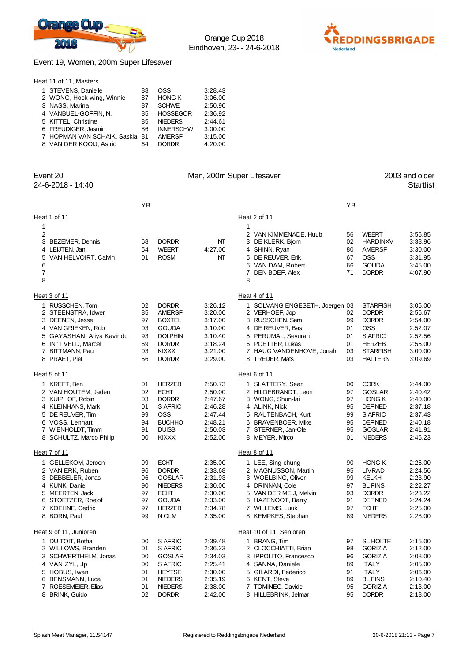

0SS 3:28.43



### Event 19, Women, 200m Super Lifesaver

| Heat 11 of 11, Masters    |    |
|---------------------------|----|
| 1 STEVENS, Danielle       | 88 |
| 2 WONG, Hock-wing, Winnie | 87 |
| 3 NASS Marina             | 87 |

| 2 WONG, Hock-wing, Winnie      | 87 | <b>HONG K</b>    | 3:06.00 |
|--------------------------------|----|------------------|---------|
| 3 NASS, Marina                 | 87 | <b>SCHWE</b>     | 2:50.90 |
| 4 VANBUEL-GOFFIN. N.           | 85 | <b>HOSSEGOR</b>  | 2:36.92 |
| 5 KITTEL, Christine            | 85 | <b>NIEDERS</b>   | 2:44.61 |
| 6 FREUDIGER, Jasmin            | 86 | <b>INNERSCHW</b> | 3:00.00 |
| 7 HOPMAN VAN SCHAIK, Saskia 81 |    | <b>AMERSF</b>    | 3:15.00 |
| 8 VAN DER KOOIJ, Astrid        | 64 | <b>DORDR</b>     | 4:20.00 |

| Event 20                              |          |                             |                    | Men, 200m Super Lifesaver                   |          |                                | 2003 and older     |
|---------------------------------------|----------|-----------------------------|--------------------|---------------------------------------------|----------|--------------------------------|--------------------|
| 24-6-2018 - 14:40                     |          |                             |                    |                                             |          |                                | <b>Startlist</b>   |
|                                       | YB       |                             |                    |                                             | YB       |                                |                    |
| Heat 1 of 11                          |          |                             |                    | Heat 2 of 11                                |          |                                |                    |
| 1                                     |          |                             |                    | 1                                           |          |                                |                    |
| 2                                     |          |                             |                    | 2 VAN KIMMENADE, Huub                       | 56       | <b>WEERT</b>                   | 3:55.85            |
| 3 BEZEMER, Dennis                     | 68       | <b>DORDR</b>                | NT                 | 3 DE KLERK, Bjorn                           | 02       | <b>HARDINXV</b>                | 3:38.96            |
| 4 LEIJTEN, Jan                        | 54       | <b>WEERT</b>                | 4:27.00            | 4 SHINN, Ryan                               | 80       | <b>AMERSF</b>                  | 3:30.00            |
| VAN HELVOIRT, Calvin<br>5             | 01       | <b>ROSM</b>                 | NT                 | 5 DE REUVER, Erik                           | 67       | <b>OSS</b>                     | 3:31.95            |
| 6                                     |          |                             |                    | 6 VAN DAM, Robert                           | 66       | <b>GOUDA</b>                   | 3:45.00            |
| $\boldsymbol{7}$<br>8                 |          |                             |                    | DEN BOEF, Alex<br>7<br>8                    | 71       | <b>DORDR</b>                   | 4:07.90            |
| Heat 3 of 11                          |          |                             |                    | Heat 4 of 11                                |          |                                |                    |
| 1 RUSSCHEN, Tom                       | 02       | <b>DORDR</b>                | 3:26.12            | 1 SOLVANG ENGESETH, Joergen 03              |          | <b>STARFISH</b>                | 3:05.00            |
| 2 STEENSTRA, Idwer                    | 85       | <b>AMERSF</b>               | 3:20.00            | 2 VERHOEF, Jop                              | 02       | <b>DORDR</b>                   | 2:56.67            |
| 3 DEENEN, Jesse                       | 97       | <b>BOXTEL</b>               | 3:17.00            | 3 RUSSCHEN, Sem                             | 99       | <b>DORDR</b>                   | 2:54.00            |
| 4 VAN GRIEKEN, Rob                    | 03       | <b>GOUDA</b>                | 3:10.00            | 4 DE REUVER, Bas                            | 01       | <b>OSS</b>                     | 2:52.07            |
| 5 GAYASHAN, Aliya Kavindu             | 93       | <b>DOLPHIN</b>              | 3:10.40            | 5 PERUMAL, Seyuran                          | 01       | S AFRIC                        | 2:52.56            |
| 6 IN 'T VELD, Marcel                  | 69       | <b>DORDR</b>                | 3:18.24            | 6 POETTER, Lukas                            | 01       | <b>HERZEB</b>                  | 2:55.00            |
| 7 BITTMANN, Paul                      | 03       | KIXXX                       | 3:21.00            | 7 HAUG VANDENHOVE, Jonah                    | 03       | <b>STARFISH</b>                | 3:00.00            |
| PRAET, Piet<br>8                      | 56       | <b>DORDR</b>                | 3:29.00            | 8 TREDER, Mats                              | 03       | <b>HALTERN</b>                 | 3:09.69            |
| Heat 5 of 11                          |          |                             |                    | Heat 6 of 11                                |          |                                |                    |
| 1 KREFT, Ben                          | 01       | <b>HERZEB</b>               | 2:50.73            | 1 SLATTERY, Sean                            | 00       | <b>CORK</b>                    | 2:44.00            |
| 2 VAN HOUTEM, Jaden                   | 02       | <b>ECHT</b>                 | 2:50.00            | 2 HILDEBRANDT, Leon                         | 97       | <b>GOSLAR</b>                  | 2:40.42            |
| 3 KUIPHOF, Robin                      | 03       | <b>DORDR</b>                | 2:47.67            | 3 WONG, Shun-lai                            | 97       | <b>HONG K</b>                  | 2:40.00            |
| 4 KLEINHANS, Mark                     | 01       | S AFRIC                     | 2:46.28            | 4 ALINK, Nick                               | 95       | DEF NED                        | 2:37.18            |
| 5 DE REUVER, Tim                      | 99       | <b>OSS</b>                  | 2:47.44            | 5 RAUTENBACH, Kurt                          | 99       | S AFRIC                        | 2:37.43            |
| 6 VOSS, Lennart                       | 94       | <b>BUCHHO</b>               | 2:48.21            | 6 BRAVENBOER, Mike                          | 95       | DEF NED                        | 2:40.18            |
| 7 WIENHOLDT, Timm                     | 91       | <b>DUISB</b>                | 2:50.03            | 7 STERNER, Jan-Ole                          | 95       | GOSLAR                         | 2:41.91            |
| 8 SCHULTZ, Marco Philip               | 00       | <b>KIXXX</b>                | 2:52.00            | 8 MEYER, Mirco                              | 01       | <b>NIEDERS</b>                 | 2:45.23            |
| Heat 7 of 11                          |          |                             |                    | Heat 8 of 11                                |          |                                |                    |
| 1 GELLEKOM, Jeroen                    | 99       | <b>ECHT</b>                 | 2:35.00            | 1 LEE, Sing-chung                           | 90       | <b>HONG K</b>                  | 2:25.00            |
| 2 VAN ERK, Ruben                      | 96       | <b>DORDR</b>                | 2:33.68            | 2 MAGNUSSON, Martin                         | 95       | LIVRAD                         | 2:24.56            |
| 3 DEBBELER, Jonas                     | 96       | <b>GOSLAR</b>               | 2:31.93            | 3 WOELBING, Oliver                          | 99       | KELKH                          | 2:23.90            |
| 4 KUNK, Daniel                        | 90       | <b>NIEDERS</b>              | 2:30.00<br>2:30.00 | 4 DRINNAN, Cole                             | 97       | <b>BL FINS</b><br><b>DORDR</b> | 2:22.27            |
| 5 MEERTEN, Jack<br>6 STOETZER, Roelof | 97<br>97 | <b>ECHT</b><br><b>GOUDA</b> | 2:33.00            | 5 VAN DER MEIJ, Melvin<br>6 HAZENOOT, Barry | 93<br>91 | DEF NED                        | 2:23.22<br>2:24.24 |
| 7 KOEHNE, Cedric                      | 97       | <b>HERZEB</b>               | 2:34.78            | 7 WILLEMS, Luuk                             | 97       | <b>ECHT</b>                    | 2:25.00            |
| 8 BORN, Paul                          | 99       | N OLM                       | 2:35.00            | 8 KEMPKES, Stephan                          | 89       | <b>NIEDERS</b>                 | 2:28.00            |
| Heat 9 of 11, Junioren                |          |                             |                    | Heat 10 of 11, Senioren                     |          |                                |                    |
| 1 DU TOIT, Botha                      | 00       | S AFRIC                     | 2:39.48            | 1 BRANG, Tim                                | 97       | SL HOLTE                       | 2:15.00            |
| 2 WILLOWS, Branden                    | 01       | S AFRIC                     | 2:36.23            | 2 CLOCCHIATTI, Brian                        | 98       | <b>GORIZIA</b>                 | 2:12.00            |
| 3 SCHWERTHELM, Jonas                  | 00       | <b>GOSLAR</b>               | 2:34.03            | 3 IPPOLITO, Francesco                       | 96       | <b>GORIZIA</b>                 | 2:08.00            |
| 4 VAN ZYL, Jp                         | 00       | S AFRIC                     | 2:25.41            | 4 SANNA, Daniele                            | 89       | <b>ITALY</b>                   | 2:05.00            |
| 5 HOBUS, Iwan                         | 01       | <b>HEYTSE</b>               | 2:30.00            | 5 GILARDI, Federico                         | 91       | <b>ITALY</b>                   | 2:06.00            |
| 6 BENSMANN, Luca                      | 01       | <b>NIEDERS</b>              | 2:35.19            | 6 KENT, Steve                               | 89       | <b>BL FINS</b>                 | 2:10.40            |
| ROESEMEIER, Elias<br>7                | 01       | <b>NIEDERS</b>              | 2:38.00            | 7 TOMINEC, Davide                           | 95       | <b>GORIZIA</b>                 | 2:13.00            |
| 8 BRINK, Guido                        | 02       | <b>DORDR</b>                | 2:42.00            | 8 HILLEBRINK, Jelmar                        | 95       | <b>DORDR</b>                   | 2:18.00            |